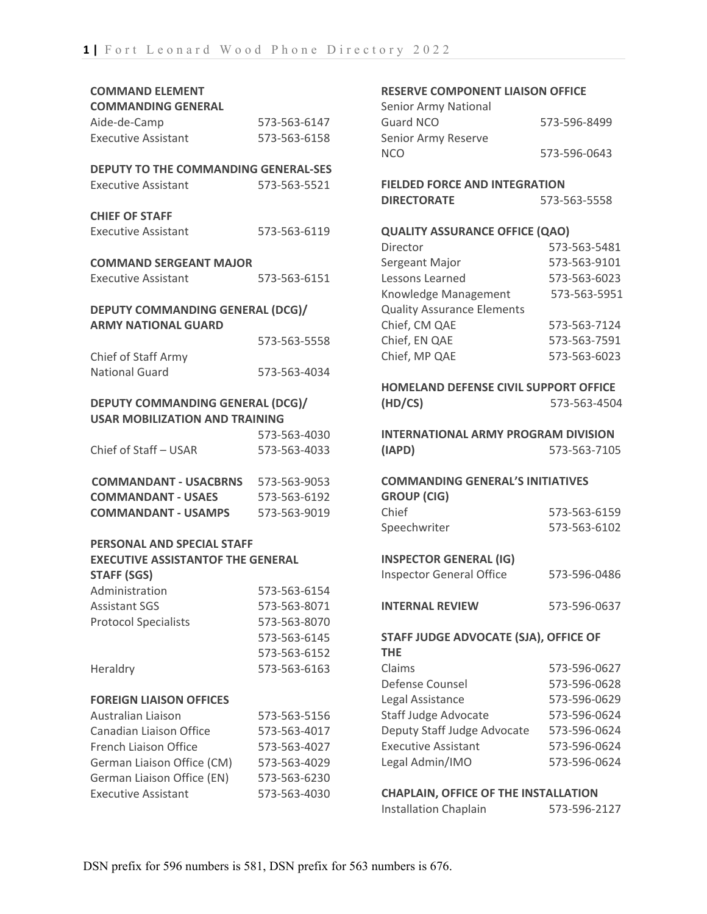| <b>COMMAND ELEMENT</b>                                         |              |  |
|----------------------------------------------------------------|--------------|--|
| <b>COMMANDING GENERAL</b>                                      |              |  |
| Aide-de-Camp                                                   | 573-563-6147 |  |
| <b>Executive Assistant</b>                                     | 573-563-6158 |  |
| <b>DEPUTY TO THE COMMANDING GENERAL-SES</b>                    |              |  |
| <b>Executive Assistant</b>                                     | 573-563-5521 |  |
| <b>CHIEF OF STAFF</b>                                          |              |  |
| <b>Executive Assistant</b>                                     | 573-563-6119 |  |
| <b>COMMAND SERGEANT MAJOR</b>                                  |              |  |
| <b>Executive Assistant</b>                                     | 573-563-6151 |  |
| DEPUTY COMMANDING GENERAL (DCG)/                               |              |  |
| <b>ARMY NATIONAL GUARD</b>                                     |              |  |
|                                                                | 573-563-5558 |  |
| Chief of Staff Army                                            |              |  |
| National Guard                                                 | 573-563-4034 |  |
| DEPUTY COMMANDING GENERAL (DCG)/                               |              |  |
| <b>USAR MOBILIZATION AND TRAINING</b>                          |              |  |
|                                                                | 573-563-4030 |  |
| Chief of Staff - USAR                                          | 573-563-4033 |  |
| COMMANDANT - USACBRNS 573-563-9053                             |              |  |
| <b>COMMANDANT - USAES</b>                                      | 573-563-6192 |  |
| <b>COMMANDANT - USAMPS</b>                                     | 573-563-9019 |  |
| PERSONAL AND SPECIAL STAFF                                     |              |  |
| <b>EXECUTIVE ASSISTANTOF THE GENERAL</b><br><b>STAFF (SGS)</b> |              |  |
| Administration                                                 | 573-563-6154 |  |
| <b>Assistant SGS</b>                                           | 573-563-8071 |  |
| <b>Protocol Specialists</b>                                    | 573-563-8070 |  |
|                                                                | 573-563-6145 |  |
|                                                                | 573-563-6152 |  |
| Heraldry                                                       | 573-563-6163 |  |
| <b>FOREIGN LIAISON OFFICES</b>                                 |              |  |
| <b>Australian Liaison</b>                                      | 573-563-5156 |  |
| Canadian Liaison Office                                        | 573-563-4017 |  |
| French Liaison Office                                          | 573-563-4027 |  |
| German Liaison Office (CM)                                     | 573-563-4029 |  |
| German Liaison Office (EN)                                     | 573-563-6230 |  |
| <b>Executive Assistant</b>                                     | 573-563-4030 |  |

#### **RESERVE COMPONENT LIAISON OFFICE**

| Senior Army National |              |
|----------------------|--------------|
| Guard NCO            | 573-596-8499 |
| Senior Army Reserve  |              |
| <b>NCO</b>           | 573-596-0643 |

**FIELDED FORCE AND INTEGRATION DIRECTORATE** 573-563-5558

#### **QUALITY ASSURANCE OFFICE (QAO)**

| Director                          | 573-563-5481 |
|-----------------------------------|--------------|
| Sergeant Major                    | 573-563-9101 |
| Lessons Learned                   | 573-563-6023 |
| Knowledge Management              | 573-563-5951 |
| <b>Quality Assurance Elements</b> |              |
| Chief, CM QAE                     | 573-563-7124 |
| Chief, EN QAE                     | 573-563-7591 |
| Chief, MP QAE                     | 573-563-6023 |
|                                   |              |

### **HOMELAND DEFENSE CIVIL SUPPORT OFFICE (HD/CS)** 573-563-4504

**INTERNATIONAL ARMY PROGRAM DIVISION (IAPD)** 573-563-7105

### **COMMANDING GENERAL'S INITIATIVES GROUP (CIG)** Chief 573-563-6159

| UIIIEI       | <u>JIJ-JUJ-ULJJ</u> |
|--------------|---------------------|
| Speechwriter | 573-563-6102        |
|              |                     |

### **INSPECTOR GENERAL (IG)**

| <b>Inspector General Office</b> | 573-596-0486 |
|---------------------------------|--------------|
|---------------------------------|--------------|

**INTERNAL REVIEW** 573-596-0637

### **STAFF JUDGE ADVOCATE (SJA), OFFICE OF THE** Claims 573-596-0627

| Defense Counsel             | 573-596-0628 |
|-----------------------------|--------------|
| Legal Assistance            | 573-596-0629 |
| <b>Staff Judge Advocate</b> | 573-596-0624 |
| Deputy Staff Judge Advocate | 573-596-0624 |
| <b>Executive Assistant</b>  | 573-596-0624 |
| Legal Admin/IMO             | 573-596-0624 |

### **CHAPLAIN, OFFICE OF THE INSTALLATION**

| <b>Installation Chaplain</b> | 573-596-2127 |
|------------------------------|--------------|
|                              |              |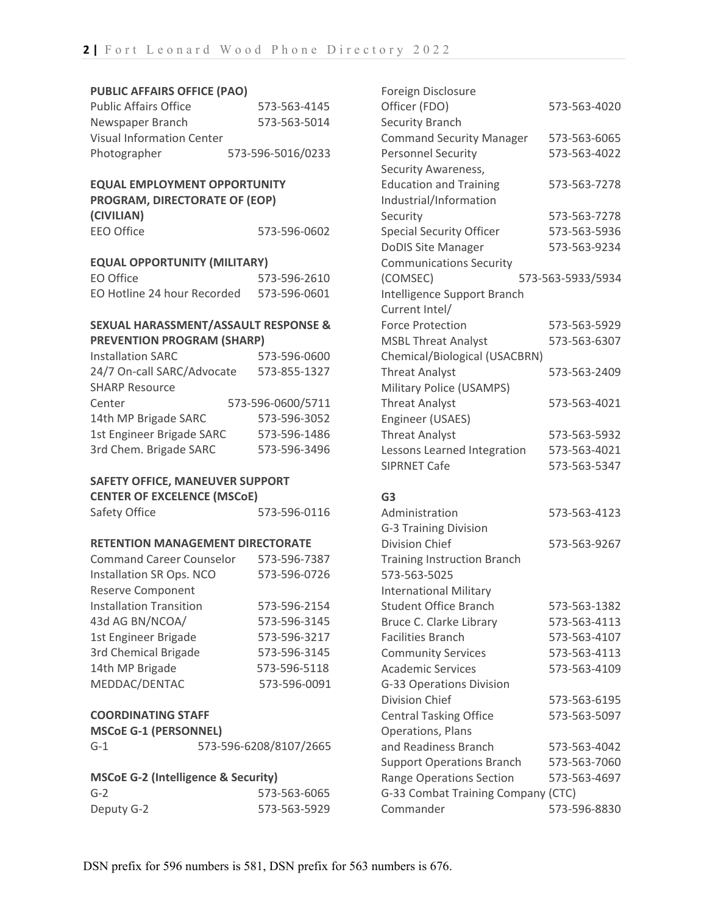#### **PUBLIC AFFAIRS OFFICE (PAO)**

| <b>Public Affairs Office</b>     | 573-563-4145      |
|----------------------------------|-------------------|
| Newspaper Branch                 | 573-563-5014      |
| <b>Visual Information Center</b> |                   |
| Photographer                     | 573-596-5016/0233 |

#### **EQUAL EMPLOYMENT OPPORTUNITY PROGRAM, DIRECTORATE OF (EOP)**

| PROGRAMI, DIRECTORATE OF (EOP) |              |
|--------------------------------|--------------|
| (CIVILIAN)                     |              |
| EEO Office                     | 573-596-0602 |

#### **EQUAL OPPORTUNITY (MILITARY)**

| EO Office                   | 573-596-2610 |
|-----------------------------|--------------|
| EO Hotline 24 hour Recorded | 573-596-0601 |

### **SEXUAL HARASSMENT/ASSAULT RESPONSE & PREVENTION PROGRAM (SHARP)**

| <b>Installation SARC</b>   | 573-596-0600      |
|----------------------------|-------------------|
| 24/7 On-call SARC/Advocate | 573-855-1327      |
| <b>SHARP Resource</b>      |                   |
| Center                     | 573-596-0600/5711 |
| 14th MP Brigade SARC       | 573-596-3052      |
| 1st Engineer Brigade SARC  | 573-596-1486      |
| 3rd Chem. Brigade SARC     | 573-596-3496      |

### **SAFETY OFFICE, MANEUVER SUPPORT CENTER OF EXCELENCE (MSCoE)**

#### **RETENTION MANAGEMENT DIRECTORATE**

| <b>Command Career Counselor</b> | 573-596-7387 |
|---------------------------------|--------------|
| Installation SR Ops. NCO        | 573-596-0726 |
| <b>Reserve Component</b>        |              |
| <b>Installation Transition</b>  | 573-596-2154 |
| 43d AG BN/NCOA/                 | 573-596-3145 |
| 1st Engineer Brigade            | 573-596-3217 |
| 3rd Chemical Brigade            | 573-596-3145 |
| 14th MP Brigade                 | 573-596-5118 |
| MEDDAC/DENTAC                   | 573-596-0091 |

#### **COORDINATING STAFF**

| <b>MSCoE G-1 (PERSONNEL)</b> |  |
|------------------------------|--|
|------------------------------|--|

#### **MSCoE G-2 (Intelligence & Security)**

| $G-2$      | 573-563-6065 |
|------------|--------------|
| Deputy G-2 | 573-563-5929 |

| Foreign Disclosure                 |                   |
|------------------------------------|-------------------|
| Officer (FDO)                      | 573-563-4020      |
| <b>Security Branch</b>             |                   |
| <b>Command Security Manager</b>    | 573-563-6065      |
| <b>Personnel Security</b>          | 573-563-4022      |
| Security Awareness,                |                   |
| <b>Education and Training</b>      | 573-563-7278      |
| Industrial/Information             |                   |
| Security                           | 573-563-7278      |
| <b>Special Security Officer</b>    | 573-563-5936      |
| <b>DoDIS Site Manager</b>          | 573-563-9234      |
| <b>Communications Security</b>     |                   |
| (COMSEC)                           | 573-563-5933/5934 |
| Intelligence Support Branch        |                   |
| Current Intel/                     |                   |
| <b>Force Protection</b>            | 573-563-5929      |
| <b>MSBL Threat Analyst</b>         | 573-563-6307      |
| Chemical/Biological (USACBRN)      |                   |
| <b>Threat Analyst</b>              | 573-563-2409      |
| Military Police (USAMPS)           |                   |
| <b>Threat Analyst</b>              | 573-563-4021      |
| Engineer (USAES)                   |                   |
| <b>Threat Analyst</b>              | 573-563-5932      |
| Lessons Learned Integration        | 573-563-4021      |
| <b>SIPRNET Cafe</b>                | 573-563-5347      |
|                                    |                   |
| G <sub>3</sub>                     |                   |
| Administration                     | 573-563-4123      |
| G-3 Training Division              |                   |
| <b>Division Chief</b>              | 573-563-9267      |
| <b>Training Instruction Branch</b> |                   |
| 573-563-5025                       |                   |

| <b>International Military</b>      |              |
|------------------------------------|--------------|
| <b>Student Office Branch</b>       | 573-563-1382 |
| Bruce C. Clarke Library            | 573-563-4113 |
| <b>Facilities Branch</b>           | 573-563-4107 |
| <b>Community Services</b>          | 573-563-4113 |
| <b>Academic Services</b>           | 573-563-4109 |
| G-33 Operations Division           |              |
| Division Chief                     | 573-563-6195 |
| <b>Central Tasking Office</b>      | 573-563-5097 |
| Operations, Plans                  |              |
| and Readiness Branch               | 573-563-4042 |
| <b>Support Operations Branch</b>   | 573-563-7060 |
| <b>Range Operations Section</b>    | 573-563-4697 |
| G-33 Combat Training Company (CTC) |              |
| Commander                          | 573-596-8830 |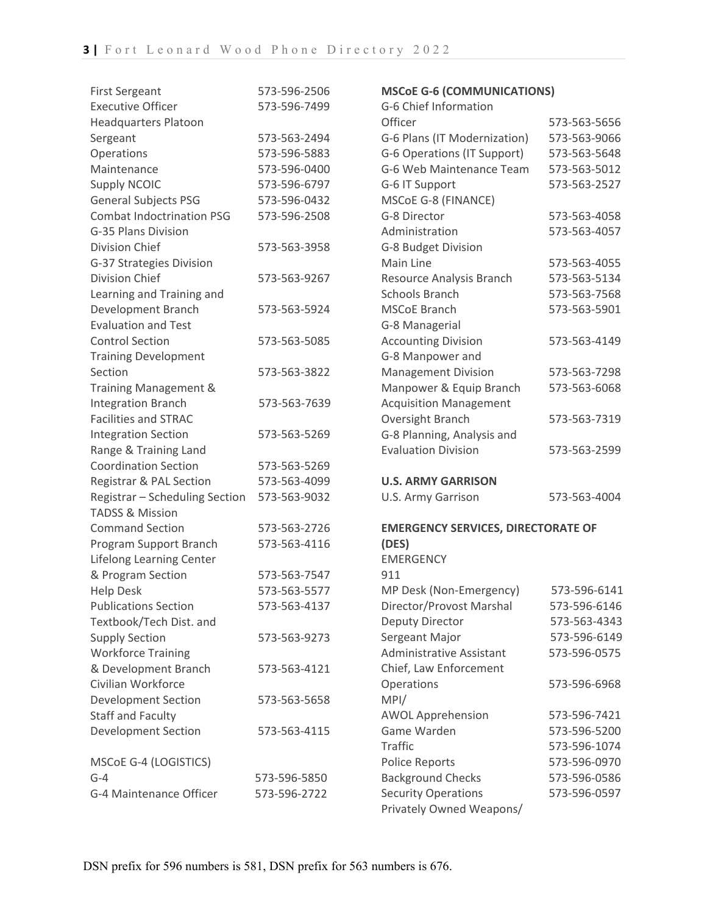| <b>First Sergeant</b>            | 573-596-2506 | <b>MSCoE G-6 (COMMUNICATIONS)</b>         |              |
|----------------------------------|--------------|-------------------------------------------|--------------|
| <b>Executive Officer</b>         | 573-596-7499 | G-6 Chief Information                     |              |
| <b>Headquarters Platoon</b>      |              | Officer                                   | 573-563-5656 |
| Sergeant                         | 573-563-2494 | G-6 Plans (IT Modernization)              | 573-563-9066 |
| Operations                       | 573-596-5883 | G-6 Operations (IT Support)               | 573-563-5648 |
| Maintenance                      | 573-596-0400 | G-6 Web Maintenance Team                  | 573-563-5012 |
| <b>Supply NCOIC</b>              | 573-596-6797 | G-6 IT Support                            | 573-563-2527 |
| <b>General Subjects PSG</b>      | 573-596-0432 | MSCoE G-8 (FINANCE)                       |              |
| <b>Combat Indoctrination PSG</b> | 573-596-2508 | G-8 Director                              | 573-563-4058 |
| G-35 Plans Division              |              | Administration                            | 573-563-4057 |
| Division Chief                   | 573-563-3958 | G-8 Budget Division                       |              |
| G-37 Strategies Division         |              | Main Line                                 | 573-563-4055 |
| Division Chief                   | 573-563-9267 | Resource Analysis Branch                  | 573-563-5134 |
| Learning and Training and        |              | Schools Branch                            | 573-563-7568 |
| Development Branch               | 573-563-5924 | <b>MSCoE Branch</b>                       | 573-563-5901 |
| <b>Evaluation and Test</b>       |              | G-8 Managerial                            |              |
| <b>Control Section</b>           | 573-563-5085 | <b>Accounting Division</b>                | 573-563-4149 |
| <b>Training Development</b>      |              | G-8 Manpower and                          |              |
| Section                          | 573-563-3822 | <b>Management Division</b>                | 573-563-7298 |
| Training Management &            |              | Manpower & Equip Branch                   | 573-563-6068 |
| <b>Integration Branch</b>        | 573-563-7639 | <b>Acquisition Management</b>             |              |
| <b>Facilities and STRAC</b>      |              | Oversight Branch                          | 573-563-7319 |
| <b>Integration Section</b>       | 573-563-5269 | G-8 Planning, Analysis and                |              |
| Range & Training Land            |              | <b>Evaluation Division</b>                | 573-563-2599 |
| <b>Coordination Section</b>      | 573-563-5269 |                                           |              |
| Registrar & PAL Section          | 573-563-4099 | <b>U.S. ARMY GARRISON</b>                 |              |
| Registrar - Scheduling Section   | 573-563-9032 | U.S. Army Garrison                        | 573-563-4004 |
| <b>TADSS &amp; Mission</b>       |              |                                           |              |
| <b>Command Section</b>           | 573-563-2726 | <b>EMERGENCY SERVICES, DIRECTORATE OF</b> |              |
| Program Support Branch           | 573-563-4116 | (DES)                                     |              |
| Lifelong Learning Center         |              | <b>EMERGENCY</b>                          |              |
| & Program Section                | 573-563-7547 | 911                                       |              |
| <b>Help Desk</b>                 | 573-563-5577 | MP Desk (Non-Emergency)                   | 573-596-6141 |
| <b>Publications Section</b>      | 573-563-4137 | Director/Provost Marshal                  | 573-596-6146 |
| Textbook/Tech Dist. and          |              | Deputy Director                           | 573-563-4343 |
| <b>Supply Section</b>            | 573-563-9273 | Sergeant Major                            | 573-596-6149 |
| <b>Workforce Training</b>        |              | Administrative Assistant                  | 573-596-0575 |
| & Development Branch             | 573-563-4121 | Chief, Law Enforcement                    |              |
| Civilian Workforce               |              | Operations                                | 573-596-6968 |
| <b>Development Section</b>       | 573-563-5658 | MPI/                                      |              |
| Staff and Faculty                |              | <b>AWOL Apprehension</b>                  | 573-596-7421 |
| <b>Development Section</b>       | 573-563-4115 | Game Warden                               | 573-596-5200 |
|                                  |              | Traffic                                   | 573-596-1074 |
| MSCoE G-4 (LOGISTICS)            |              | <b>Police Reports</b>                     | 573-596-0970 |
| $G-4$                            | 573-596-5850 | <b>Background Checks</b>                  | 573-596-0586 |
| G-4 Maintenance Officer          | 573-596-2722 | <b>Security Operations</b>                | 573-596-0597 |
|                                  |              | Privately Owned Weapons/                  |              |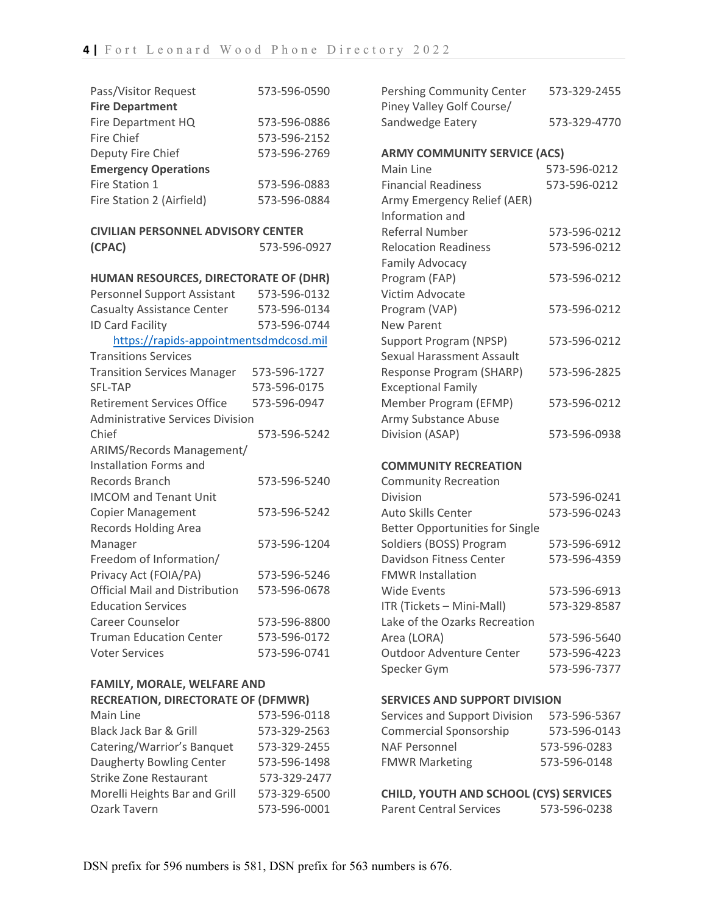| Pass/Visitor Request        | 573-596-0590 |
|-----------------------------|--------------|
| <b>Fire Department</b>      |              |
| Fire Department HQ          | 573-596-0886 |
| <b>Fire Chief</b>           | 573-596-2152 |
| Deputy Fire Chief           | 573-596-2769 |
| <b>Emergency Operations</b> |              |
| Fire Station 1              | 573-596-0883 |
| Fire Station 2 (Airfield)   | 573-596-0884 |

| CIVILIAN PERSONNEL ADVISORY CENTER |              |
|------------------------------------|--------------|
| (CPAC)                             | 573-596-0927 |

| HUMAN RESOURCES, DIRECTORATE OF (DHR)   |              |  |
|-----------------------------------------|--------------|--|
| Personnel Support Assistant             | 573-596-0132 |  |
| <b>Casualty Assistance Center</b>       | 573-596-0134 |  |
| <b>ID Card Facility</b>                 | 573-596-0744 |  |
| https://rapids-appointmentsdmdcosd.mil  |              |  |
| <b>Transitions Services</b>             |              |  |
| <b>Transition Services Manager</b>      | 573-596-1727 |  |
| <b>SFL-TAP</b>                          | 573-596-0175 |  |
| <b>Retirement Services Office</b>       | 573-596-0947 |  |
| <b>Administrative Services Division</b> |              |  |
| Chief                                   | 573-596-5242 |  |
| ARIMS/Records Management/               |              |  |
| Installation Forms and                  |              |  |
| Records Branch                          | 573-596-5240 |  |
| <b>IMCOM and Tenant Unit</b>            |              |  |
| <b>Copier Management</b>                | 573-596-5242 |  |
| <b>Records Holding Area</b>             |              |  |
| Manager                                 | 573-596-1204 |  |
| Freedom of Information/                 |              |  |
| Privacy Act (FOIA/PA)                   | 573-596-5246 |  |
| Official Mail and Distribution          | 573-596-0678 |  |
| <b>Education Services</b>               |              |  |
| Career Counselor                        | 573-596-8800 |  |
| <b>Truman Education Center</b>          | 573-596-0172 |  |
| <b>Voter Services</b>                   | 573-596-0741 |  |

## **FAMILY, MORALE, WELFARE AND RECREATION, DIRECTORATE OF (DFMWR) SERVICES AND SUPPORT DIVISION**

| 573-596-0118 |
|--------------|
| 573-329-2563 |
| 573-329-2455 |
| 573-596-1498 |
| 573-329-2477 |
| 573-329-6500 |
| 573-596-0001 |
|              |

| Pershing Community Center<br>Piney Valley Golf Course/ | 573-329-2455 |
|--------------------------------------------------------|--------------|
| Sandwedge Eatery                                       | 573-329-4770 |
| <b>ARMY COMMUNITY SERVICE (ACS)</b>                    |              |
| Main Line                                              | 573-596-0212 |
| <b>Financial Readiness</b>                             | 573-596-0212 |
| Army Emergency Relief (AER)                            |              |
| Information and                                        |              |
| Referral Number                                        | 573-596-0212 |
| <b>Relocation Readiness</b>                            | 573-596-0212 |
| <b>Family Advocacy</b>                                 |              |
| Program (FAP)                                          | 573-596-0212 |
| Victim Advocate                                        |              |
| Program (VAP)                                          | 573-596-0212 |
| <b>New Parent</b>                                      |              |
| Support Program (NPSP)                                 | 573-596-0212 |
| Sexual Harassment Assault                              |              |
| Response Program (SHARP)                               | 573-596-2825 |
| <b>Exceptional Family</b>                              |              |
| Member Program (EFMP)                                  | 573-596-0212 |
| Army Substance Abuse                                   |              |
| Division (ASAP)                                        | 573-596-0938 |
|                                                        |              |
| <b>COMMUNITY RECREATION</b>                            |              |
| <b>Community Recreation</b>                            |              |
| Division                                               | 573-596-0241 |
| <b>Auto Skills Center</b>                              | 573-596-0243 |
| <b>Better Opportunities for Single</b>                 |              |
| Soldiers (BOSS) Program                                | 573-596-6912 |
| <b>Davidson Fitness Center</b>                         | 573-596-4359 |
| <b>FMWR Installation</b>                               |              |
| <b>Wide Events</b>                                     | 573-596-6913 |
| ITR (Tickets - Mini-Mall)                              | 573-329-8587 |
| Lake of the Ozarks Recreation                          |              |
| Area (LORA)                                            | 573-596-5640 |
| <b>Outdoor Adventure Center</b>                        | 573-596-4223 |
| Specker Gym                                            | 573-596-7377 |
|                                                        |              |

| Services and Support Division | 573-596-5367 |
|-------------------------------|--------------|
| Commercial Sponsorship        | 573-596-0143 |
| NAF Personnel                 | 573-596-0283 |
| <b>FMWR Marketing</b>         | 573-596-0148 |

### **CHILD, YOUTH AND SCHOOL (CYS) SERVICES** Parent Central Services 573-596-0238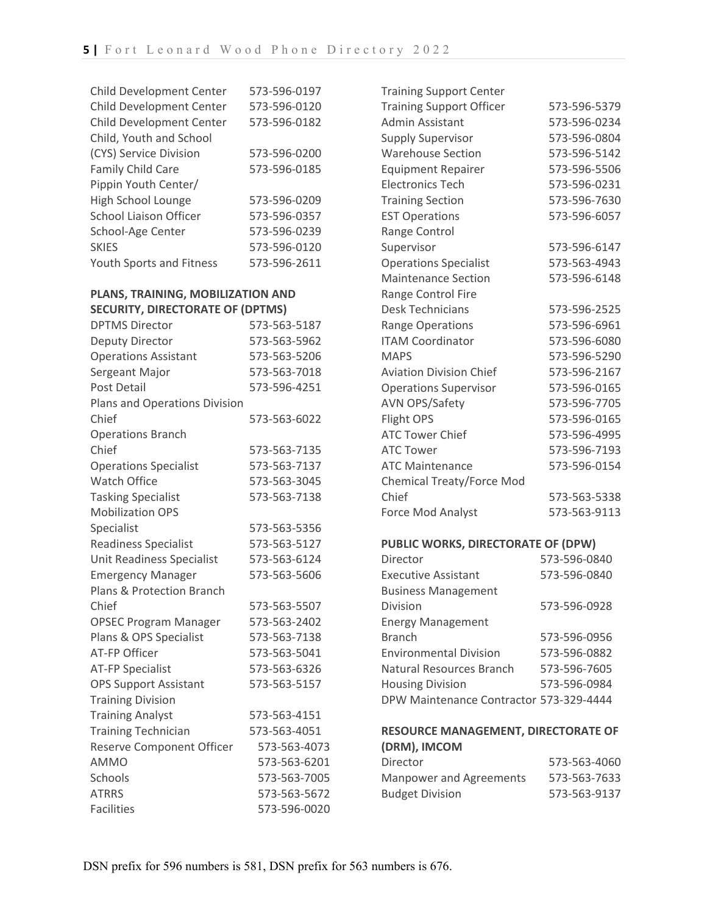| <b>Child Development Center</b> | 573-596-0197 |
|---------------------------------|--------------|
| Child Development Center        | 573-596-0120 |
| Child Development Center        | 573-596-0182 |
| Child, Youth and School         |              |
| (CYS) Service Division          | 573-596-0200 |
| <b>Family Child Care</b>        | 573-596-0185 |
| Pippin Youth Center/            |              |
| High School Lounge              | 573-596-0209 |
| <b>School Liaison Officer</b>   | 573-596-0357 |
| School-Age Center               | 573-596-0239 |
| <b>SKIES</b>                    | 573-596-0120 |
| <b>Youth Sports and Fitness</b> | 573-596-2611 |
|                                 |              |

### **PLANS, TRAINING, MOBILIZATION AND SECURITY, DIRECTORATE OF (DPTMS)**

| <b>DPTMS Director</b>         | 573-563-5187 |
|-------------------------------|--------------|
| Deputy Director               | 573-563-5962 |
| <b>Operations Assistant</b>   | 573-563-5206 |
| Sergeant Major                | 573-563-7018 |
| <b>Post Detail</b>            | 573-596-4251 |
| Plans and Operations Division |              |
| Chief                         | 573-563-6022 |
| <b>Operations Branch</b>      |              |
| Chief                         | 573-563-7135 |
| <b>Operations Specialist</b>  | 573-563-7137 |
| <b>Watch Office</b>           | 573-563-3045 |
| <b>Tasking Specialist</b>     | 573-563-7138 |
| <b>Mobilization OPS</b>       |              |
| Specialist                    | 573-563-5356 |
| <b>Readiness Specialist</b>   | 573-563-5127 |
| Unit Readiness Specialist     | 573-563-6124 |
| <b>Emergency Manager</b>      | 573-563-5606 |
| Plans & Protection Branch     |              |
| Chief                         | 573-563-5507 |
| <b>OPSEC Program Manager</b>  | 573-563-2402 |
| Plans & OPS Specialist        | 573-563-7138 |
| <b>AT-FP Officer</b>          | 573-563-5041 |
| <b>AT-FP Specialist</b>       | 573-563-6326 |
| <b>OPS Support Assistant</b>  | 573-563-5157 |
| <b>Training Division</b>      |              |
| <b>Training Analyst</b>       | 573-563-4151 |
| <b>Training Technician</b>    | 573-563-4051 |
| Reserve Component Officer     | 573-563-4073 |
| <b>AMMO</b>                   | 573-563-6201 |
| Schools                       | 573-563-7005 |
| <b>ATRRS</b>                  | 573-563-5672 |
| <b>Facilities</b>             | 573-596-0020 |

| <b>Training Support Center</b>  |              |
|---------------------------------|--------------|
| <b>Training Support Officer</b> | 573-596-5379 |
| <b>Admin Assistant</b>          | 573-596-0234 |
| <b>Supply Supervisor</b>        | 573-596-0804 |
| <b>Warehouse Section</b>        | 573-596-5142 |
| <b>Equipment Repairer</b>       | 573-596-5506 |
| <b>Electronics Tech</b>         | 573-596-0231 |
| <b>Training Section</b>         | 573-596-7630 |
| <b>EST Operations</b>           | 573-596-6057 |
| Range Control                   |              |
| Supervisor                      | 573-596-6147 |
| <b>Operations Specialist</b>    | 573-563-4943 |
| <b>Maintenance Section</b>      | 573-596-6148 |
| Range Control Fire              |              |
| <b>Desk Technicians</b>         | 573-596-2525 |
| <b>Range Operations</b>         | 573-596-6961 |
| <b>ITAM Coordinator</b>         | 573-596-6080 |
| <b>MAPS</b>                     | 573-596-5290 |
| <b>Aviation Division Chief</b>  | 573-596-2167 |
| <b>Operations Supervisor</b>    | 573-596-0165 |
| <b>AVN OPS/Safety</b>           | 573-596-7705 |
| Flight OPS                      | 573-596-0165 |
| <b>ATC Tower Chief</b>          | 573-596-4995 |
| <b>ATC Tower</b>                | 573-596-7193 |
| <b>ATC Maintenance</b>          | 573-596-0154 |
| Chemical Treaty/Force Mod       |              |
| Chief                           | 573-563-5338 |
| <b>Force Mod Analyst</b>        | 573-563-9113 |
|                                 |              |

### **PUBLIC WORKS, DIRECTORATE OF (DPW)**

| Director                                | 573-596-0840 |
|-----------------------------------------|--------------|
| <b>Executive Assistant</b>              | 573-596-0840 |
| <b>Business Management</b>              |              |
| Division                                | 573-596-0928 |
| <b>Energy Management</b>                |              |
| <b>Branch</b>                           | 573-596-0956 |
| <b>Environmental Division</b>           | 573-596-0882 |
| <b>Natural Resources Branch</b>         | 573-596-7605 |
| <b>Housing Division</b>                 | 573-596-0984 |
| DPW Maintenance Contractor 573-329-4444 |              |

#### **RESOURCE MANAGEMENT, DIRECTORATE OF (DRM), IMCOM**  $573-563-4060$

| Director                | 573-563-4060 |
|-------------------------|--------------|
| Manpower and Agreements | 573-563-7633 |
| <b>Budget Division</b>  | 573-563-9137 |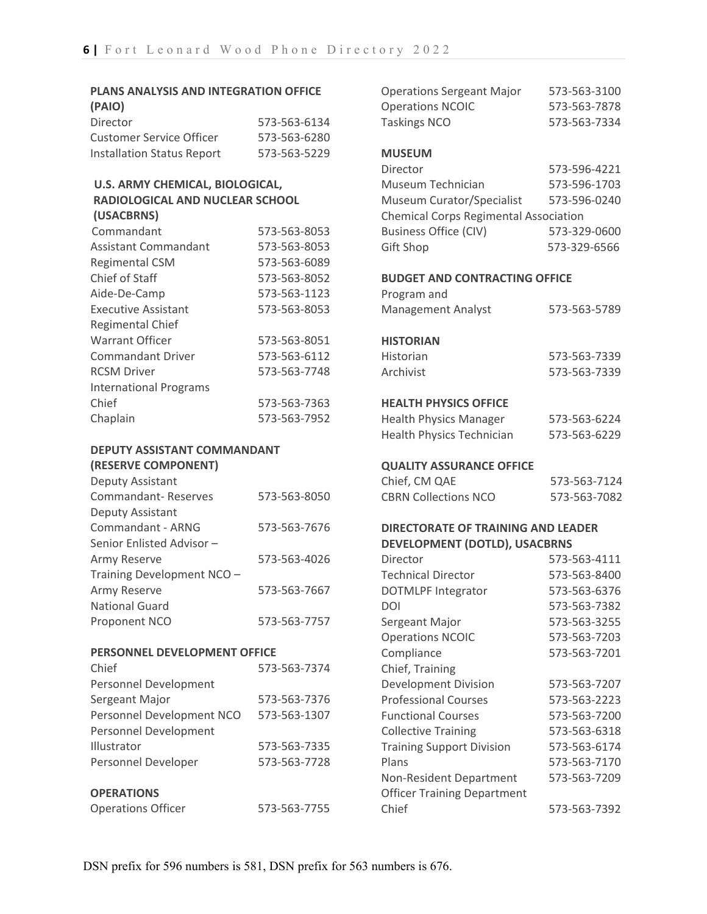| <b>PLANS ANALYSIS AND INTEGRATION OFFICE</b><br>(PAIO)                                  |                              |  |
|-----------------------------------------------------------------------------------------|------------------------------|--|
| Director                                                                                | 573-563-6134                 |  |
| Customer Service Officer                                                                | 573-563-6280                 |  |
| Installation Status Report                                                              | 573-563-5229                 |  |
| <b>U.S. ARMY CHEMICAL, BIOLOGICAL,</b><br>RADIOLOGICAL AND NUCLEAR SCHOOL<br>(USACBRNS) |                              |  |
|                                                                                         |                              |  |
| Commandant<br>Assistant Commandant                                                      | 573-563-8053<br>573-563-8053 |  |

| Chief of Staff                | 573-563-8052 |
|-------------------------------|--------------|
| Aide-De-Camp                  | 573-563-1123 |
| <b>Executive Assistant</b>    | 573-563-8053 |
| <b>Regimental Chief</b>       |              |
| Warrant Officer               | 573-563-8051 |
| <b>Commandant Driver</b>      | 573-563-6112 |
| <b>RCSM Driver</b>            | 573-563-7748 |
| <b>International Programs</b> |              |
| Chief                         | 573-563-7363 |
| Chaplain                      | 573-563-7952 |

### **DEPUTY ASSISTANT COMMANDANT (RESERVE COMPONENT)**

| Deputy Assistant           |              |
|----------------------------|--------------|
| Commandant-Reserves        | 573-563-8050 |
| Deputy Assistant           |              |
| Commandant - ARNG          | 573-563-7676 |
| Senior Enlisted Advisor -  |              |
| Army Reserve               | 573-563-4026 |
| Training Development NCO - |              |
| Army Reserve               | 573-563-7667 |
| <b>National Guard</b>      |              |
| Proponent NCO              | 573-563-7757 |
|                            |              |

### **PERSONNEL DEVELOPMENT OFFICE**

| Chief                     | 573-563-7374 |
|---------------------------|--------------|
| Personnel Development     |              |
| Sergeant Major            | 573-563-7376 |
| Personnel Development NCO | 573-563-1307 |
| Personnel Development     |              |
| Illustrator               | 573-563-7335 |
| Personnel Developer       | 573-563-7728 |
| <b>OPERATIONS</b>         |              |
| <b>Operations Officer</b> | 573-563-7755 |

| <b>Operations Sergeant Major</b>             | 573-563-3100 |
|----------------------------------------------|--------------|
| <b>Operations NCOIC</b>                      | 573-563-7878 |
| <b>Taskings NCO</b>                          | 573-563-7334 |
| <b>MUSEUM</b>                                |              |
| Director                                     | 573-596-4221 |
| Museum Technician                            | 573-596-1703 |
| <b>Museum Curator/Specialist</b>             | 573-596-0240 |
| <b>Chemical Corps Regimental Association</b> |              |
| <b>Business Office (CIV)</b>                 | 573-329-0600 |
| <b>Gift Shop</b>                             | 573-329-6566 |
| <b>BUDGET AND CONTRACTING OFFICE</b>         |              |
| Program and                                  |              |
| Management Analyst                           | 573-563-5789 |
| <b>HISTORIAN</b>                             |              |
| Historian                                    | 573-563-7339 |
| Archivist                                    | 573-563-7339 |
|                                              |              |
| <b>HEALTH PHYSICS OFFICE</b>                 |              |
| <b>Health Physics Manager</b>                | 573-563-6224 |
| <b>Health Physics Technician</b>             | 573-563-6229 |
| <b>QUALITY ASSURANCE OFFICE</b>              |              |
| Chief, CM QAE                                | 573-563-7124 |
| <b>CBRN Collections NCO</b>                  | 573-563-7082 |
| <b>DIRECTORATE OF TRAINING AND LEADER</b>    |              |
| <b>DEVELOPMENT (DOTLD), USACBRNS</b>         |              |
| Director                                     | 573-563-4111 |
| <b>Technical Director</b>                    | 573-563-8400 |
| <b>DOTMLPF Integrator</b>                    | 573-563-6376 |
| DOI                                          | 573-563-7382 |
| Sergeant Major                               | 573-563-3255 |
| <b>Operations NCOIC</b>                      | 573-563-7203 |
| Compliance                                   | 573-563-7201 |
| Chief, Training                              |              |
| <b>Development Division</b>                  | 573-563-7207 |
| <b>Professional Courses</b>                  | 573-563-2223 |
| <b>Functional Courses</b>                    | 573-563-7200 |
| <b>Collective Training</b>                   | 573-563-6318 |
| <b>Training Support Division</b>             | 573-563-6174 |
| Plans                                        | 573-563-7170 |
| Non-Resident Department                      | 573-563-7209 |
| <b>Officer Training Department</b>           |              |

Chief 573-563-7392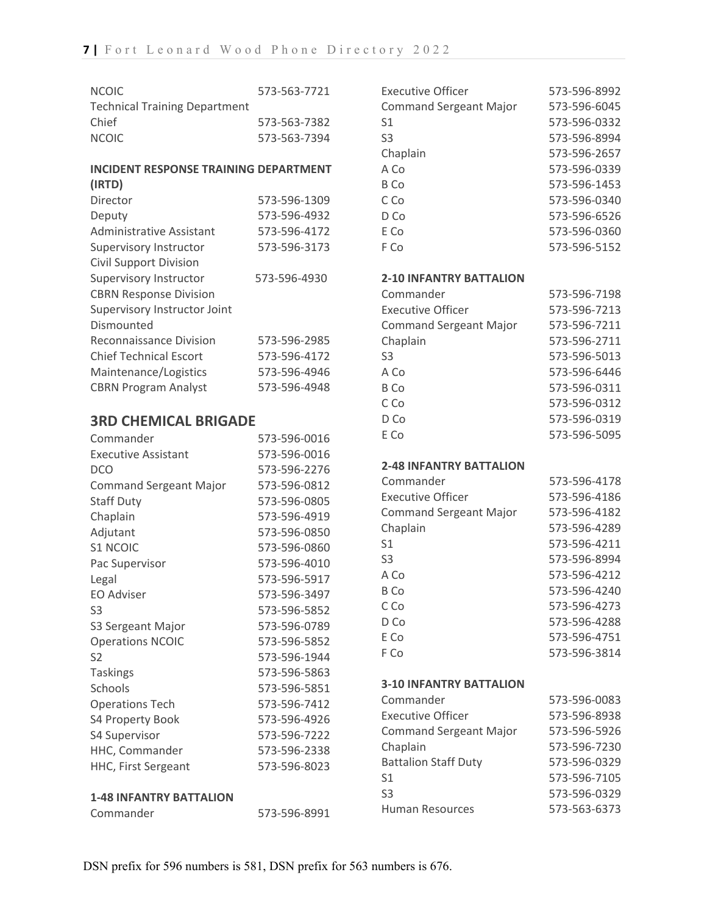| <b>NCOIC</b>                                 | 573-563-7721 |
|----------------------------------------------|--------------|
| <b>Technical Training Department</b>         |              |
| Chief                                        | 573-563-7382 |
| <b>NCOIC</b>                                 | 573-563-7394 |
| <b>INCIDENT RESPONSE TRAINING DEPARTMENT</b> |              |
| (IRTD)                                       |              |
| Director                                     | 573-596-1309 |
| Deputy                                       | 573-596-4932 |
| <b>Administrative Assistant</b>              | 573-596-4172 |
| Supervisory Instructor                       | 573-596-3173 |
| <b>Civil Support Division</b>                |              |
| <b>Supervisory Instructor</b>                | 573-596-4930 |
| <b>CBRN Response Division</b>                |              |
| Supervisory Instructor Joint                 |              |
| Dismounted                                   |              |
| Reconnaissance Division                      | 573-596-2985 |
| <b>Chief Technical Escort</b>                | 573-596-4172 |
| Maintenance/Logistics                        | 573-596-4946 |
| <b>CBRN Program Analyst</b>                  | 573-596-4948 |
| <b>3RD CHEMICAL BRIGADE</b>                  |              |
| Commander                                    | 573-596-0016 |
| <b>Executive Assistant</b>                   | 573-596-0016 |
| <b>DCO</b>                                   | 573-596-2276 |
| <b>Command Sergeant Major</b>                | 573-596-0812 |
| Staff Duty                                   | 573-596-0805 |
| Chaplain                                     | 573-596-4919 |
| Adjutant                                     | 573-596-0850 |
| <b>S1 NCOIC</b>                              | 573-596-0860 |
| Pac Supervisor                               | 573-596-4010 |
| Legal                                        | 573-596-5917 |
| <b>EO Adviser</b>                            | 573-596-3497 |
| S3                                           | 573-596-5852 |
| S3 Sergeant Major                            | 573-596-0789 |
| <b>Operations NCOIC</b>                      | 573-596-5852 |
| S <sub>2</sub>                               | 573-596-1944 |
| <b>Taskings</b>                              | 573-596-5863 |
| Schools                                      | 573-596-5851 |
| <b>Operations Tech</b>                       | 573-596-7412 |
| S4 Property Book                             | 573-596-4926 |
| S4 Supervisor                                | 573-596-7222 |
| HHC, Commander                               | 573-596-2338 |
| HHC, First Sergeant                          | 573-596-8023 |
|                                              |              |

## **1-48 INFANTRY BATTALION** 573-596-8991

| 573-596-8992 |
|--------------|
| 573-596-6045 |
| 573-596-0332 |
| 573-596-8994 |
| 573-596-2657 |
| 573-596-0339 |
| 573-596-1453 |
| 573-596-0340 |
| 573-596-6526 |
| 573-596-0360 |
| 573-596-5152 |
|              |

#### **2-10 INFANTRY BATTALION**

| Commander                     | 573-596-7198 |
|-------------------------------|--------------|
| <b>Executive Officer</b>      | 573-596-7213 |
| <b>Command Sergeant Major</b> | 573-596-7211 |
| Chaplain                      | 573-596-2711 |
| S <sub>3</sub>                | 573-596-5013 |
| A Co                          | 573-596-6446 |
| B Co                          | 573-596-0311 |
| C Co                          | 573-596-0312 |
| D Co                          | 573-596-0319 |
| E Co                          | 573-596-5095 |

### **2-48 INFANTRY BATTALION**

| Commander                     | 573-596-4178 |
|-------------------------------|--------------|
| <b>Executive Officer</b>      | 573-596-4186 |
| <b>Command Sergeant Major</b> | 573-596-4182 |
| Chaplain                      | 573-596-4289 |
| S1                            | 573-596-4211 |
| S <sub>3</sub>                | 573-596-8994 |
| A Co                          | 573-596-4212 |
| B Co                          | 573-596-4240 |
| C.Co                          | 573-596-4273 |
| D Co                          | 573-596-4288 |
| E Co                          | 573-596-4751 |
| F Co                          | 573-596-3814 |

### **3-10 INFANTRY BATTALION**

| Commander                     | 573-596-0083 |
|-------------------------------|--------------|
| Executive Officer             | 573-596-8938 |
| <b>Command Sergeant Major</b> | 573-596-5926 |
| Chaplain                      | 573-596-7230 |
| <b>Battalion Staff Duty</b>   | 573-596-0329 |
| S1                            | 573-596-7105 |
| S <sub>3</sub>                | 573-596-0329 |
| <b>Human Resources</b>        | 573-563-6373 |
|                               |              |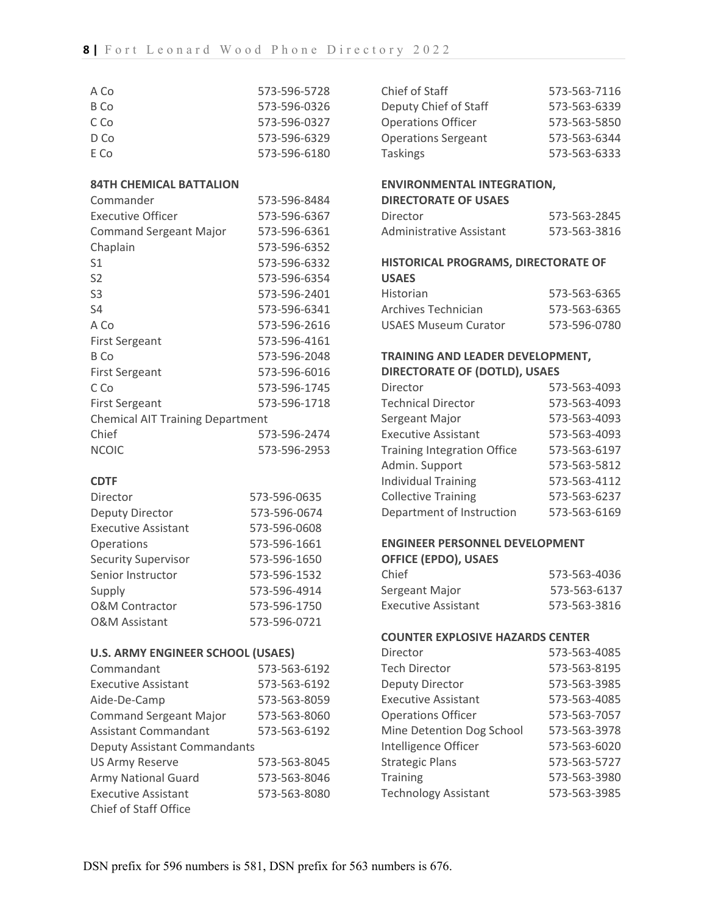| A Co                                    | 573-596-5728 | Chief of Staff                          | 573-563-7116 |
|-----------------------------------------|--------------|-----------------------------------------|--------------|
| <b>B</b> Co                             | 573-596-0326 | Deputy Chief of Staff                   | 573-563-6339 |
| C Co                                    | 573-596-0327 | <b>Operations Officer</b>               | 573-563-5850 |
| D Co                                    | 573-596-6329 | <b>Operations Sergeant</b>              | 573-563-6344 |
| E Co                                    | 573-596-6180 | <b>Taskings</b>                         | 573-563-6333 |
|                                         |              |                                         |              |
| <b>84TH CHEMICAL BATTALION</b>          |              | <b>ENVIRONMENTAL INTEGRATION,</b>       |              |
| Commander                               | 573-596-8484 | <b>DIRECTORATE OF USAES</b>             |              |
| <b>Executive Officer</b>                | 573-596-6367 | Director                                | 573-563-2845 |
| <b>Command Sergeant Major</b>           | 573-596-6361 | Administrative Assistant                | 573-563-3816 |
| Chaplain                                | 573-596-6352 |                                         |              |
| S <sub>1</sub>                          | 573-596-6332 | HISTORICAL PROGRAMS, DIRECTORATE OF     |              |
| S <sub>2</sub>                          | 573-596-6354 | <b>USAES</b>                            |              |
| S <sub>3</sub>                          | 573-596-2401 | Historian                               | 573-563-6365 |
| S <sub>4</sub>                          | 573-596-6341 | <b>Archives Technician</b>              | 573-563-6365 |
| A Co                                    | 573-596-2616 | <b>USAES Museum Curator</b>             | 573-596-0780 |
| <b>First Sergeant</b>                   | 573-596-4161 |                                         |              |
| <b>B</b> Co                             | 573-596-2048 | TRAINING AND LEADER DEVELOPMENT,        |              |
| <b>First Sergeant</b>                   | 573-596-6016 | <b>DIRECTORATE OF (DOTLD), USAES</b>    |              |
| C Co                                    | 573-596-1745 | Director                                | 573-563-4093 |
| <b>First Sergeant</b>                   | 573-596-1718 | <b>Technical Director</b>               | 573-563-4093 |
| <b>Chemical AIT Training Department</b> |              | Sergeant Major                          | 573-563-4093 |
| Chief                                   | 573-596-2474 | <b>Executive Assistant</b>              | 573-563-4093 |
| <b>NCOIC</b>                            | 573-596-2953 | <b>Training Integration Office</b>      | 573-563-6197 |
|                                         |              | Admin. Support                          | 573-563-5812 |
| <b>CDTF</b>                             |              | <b>Individual Training</b>              | 573-563-4112 |
| Director                                | 573-596-0635 | <b>Collective Training</b>              | 573-563-6237 |
| <b>Deputy Director</b>                  | 573-596-0674 | Department of Instruction               | 573-563-6169 |
| <b>Executive Assistant</b>              | 573-596-0608 |                                         |              |
| Operations                              | 573-596-1661 | <b>ENGINEER PERSONNEL DEVELOPMENT</b>   |              |
| <b>Security Supervisor</b>              | 573-596-1650 | <b>OFFICE (EPDO), USAES</b>             |              |
| Senior Instructor                       | 573-596-1532 | Chief                                   | 573-563-4036 |
| Supply                                  | 573-596-4914 | Sergeant Major                          | 573-563-6137 |
| O&M Contractor                          | 573-596-1750 | <b>Executive Assistant</b>              | 573-563-3816 |
| <b>O&amp;M Assistant</b>                | 573-596-0721 |                                         |              |
|                                         |              | <b>COUNTER EXPLOSIVE HAZARDS CENTER</b> |              |

# **U.S. ARMY ENGINEER SCHOOL (USAES)**

| Commandant                          | 573-563-6192 |  |
|-------------------------------------|--------------|--|
| <b>Executive Assistant</b>          | 573-563-6192 |  |
| Aide-De-Camp                        | 573-563-8059 |  |
| <b>Command Sergeant Major</b>       | 573-563-8060 |  |
| Assistant Commandant                | 573-563-6192 |  |
| <b>Deputy Assistant Commandants</b> |              |  |
| <b>US Army Reserve</b>              | 573-563-8045 |  |
| <b>Army National Guard</b>          | 573-563-8046 |  |
| <b>Executive Assistant</b>          | 573-563-8080 |  |
| Chief of Staff Office               |              |  |

| Director                    | 573-563-4085 |
|-----------------------------|--------------|
| <b>Tech Director</b>        | 573-563-8195 |
| <b>Deputy Director</b>      | 573-563-3985 |
| <b>Executive Assistant</b>  | 573-563-4085 |
| <b>Operations Officer</b>   | 573-563-7057 |
| Mine Detention Dog School   | 573-563-3978 |
| Intelligence Officer        | 573-563-6020 |
| <b>Strategic Plans</b>      | 573-563-5727 |
| <b>Training</b>             | 573-563-3980 |
| <b>Technology Assistant</b> | 573-563-3985 |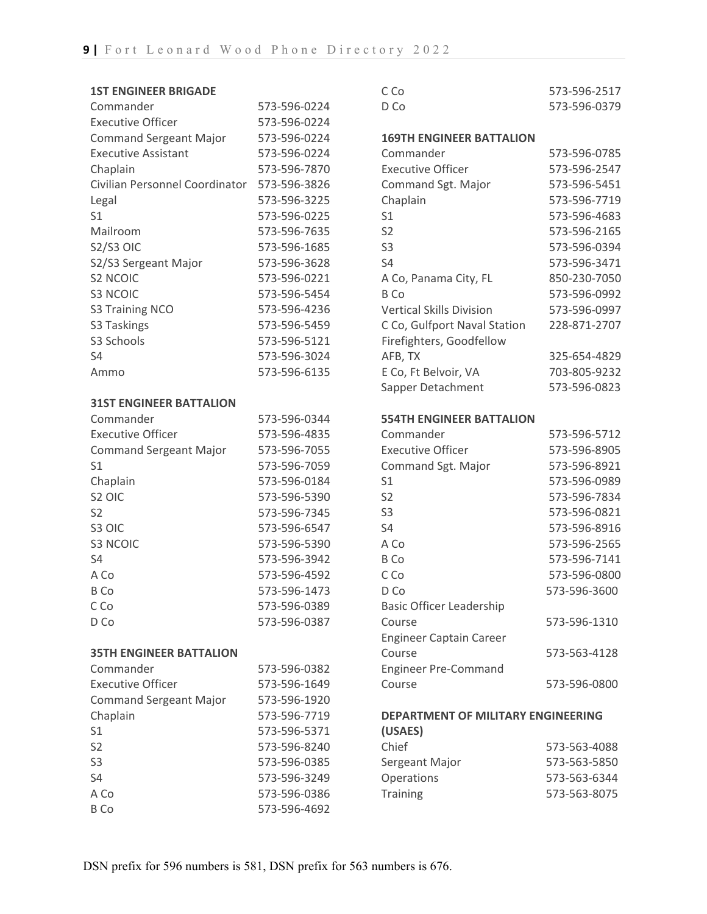| <b>1ST ENGINEER BRIGADE</b>    |              | C Co                                      | 573-596-2517 |
|--------------------------------|--------------|-------------------------------------------|--------------|
| Commander                      | 573-596-0224 | D Co                                      | 573-596-0379 |
| <b>Executive Officer</b>       | 573-596-0224 |                                           |              |
| <b>Command Sergeant Major</b>  | 573-596-0224 | <b>169TH ENGINEER BATTALION</b>           |              |
| <b>Executive Assistant</b>     | 573-596-0224 | Commander                                 | 573-596-0785 |
| Chaplain                       | 573-596-7870 | <b>Executive Officer</b>                  | 573-596-2547 |
| Civilian Personnel Coordinator | 573-596-3826 | Command Sgt. Major                        | 573-596-5451 |
| Legal                          | 573-596-3225 | Chaplain                                  | 573-596-7719 |
| S <sub>1</sub>                 | 573-596-0225 | S <sub>1</sub>                            | 573-596-4683 |
| Mailroom                       | 573-596-7635 | S <sub>2</sub>                            | 573-596-2165 |
| <b>S2/S3 OIC</b>               | 573-596-1685 | S <sub>3</sub>                            | 573-596-0394 |
| S2/S3 Sergeant Major           | 573-596-3628 | S4                                        | 573-596-3471 |
| <b>S2 NCOIC</b>                | 573-596-0221 | A Co, Panama City, FL                     | 850-230-7050 |
| <b>S3 NCOIC</b>                | 573-596-5454 | B Co                                      | 573-596-0992 |
| S3 Training NCO                | 573-596-4236 | <b>Vertical Skills Division</b>           | 573-596-0997 |
| S3 Taskings                    | 573-596-5459 | C Co, Gulfport Naval Station              | 228-871-2707 |
| S3 Schools                     | 573-596-5121 | Firefighters, Goodfellow                  |              |
| S4                             | 573-596-3024 | AFB, TX                                   | 325-654-4829 |
| Ammo                           | 573-596-6135 | E Co, Ft Belvoir, VA                      | 703-805-9232 |
|                                |              | Sapper Detachment                         | 573-596-0823 |
| <b>31ST ENGINEER BATTALION</b> |              |                                           |              |
| Commander                      | 573-596-0344 | <b>554TH ENGINEER BATTALION</b>           |              |
| <b>Executive Officer</b>       | 573-596-4835 | Commander                                 | 573-596-5712 |
| <b>Command Sergeant Major</b>  | 573-596-7055 | <b>Executive Officer</b>                  | 573-596-8905 |
| S <sub>1</sub>                 | 573-596-7059 | Command Sgt. Major                        | 573-596-8921 |
| Chaplain                       | 573-596-0184 | S1                                        | 573-596-0989 |
| S <sub>2</sub> OIC             | 573-596-5390 | S <sub>2</sub>                            | 573-596-7834 |
| S <sub>2</sub>                 | 573-596-7345 | S <sub>3</sub>                            | 573-596-0821 |
| S3 OIC                         | 573-596-6547 | S4                                        | 573-596-8916 |
| <b>S3 NCOIC</b>                | 573-596-5390 | A Co                                      | 573-596-2565 |
| S <sub>4</sub>                 | 573-596-3942 | <b>B</b> Co                               | 573-596-7141 |
| A Co                           | 573-596-4592 | C Co                                      | 573-596-0800 |
| <b>B</b> Co                    | 573-596-1473 | D Co                                      | 573-596-3600 |
| C Co                           | 573-596-0389 | <b>Basic Officer Leadership</b>           |              |
| D Co                           | 573-596-0387 | Course                                    | 573-596-1310 |
|                                |              | <b>Engineer Captain Career</b>            |              |
| <b>35TH ENGINEER BATTALION</b> |              | Course                                    | 573-563-4128 |
| Commander                      | 573-596-0382 | <b>Engineer Pre-Command</b>               |              |
| <b>Executive Officer</b>       | 573-596-1649 | Course                                    | 573-596-0800 |
| <b>Command Sergeant Major</b>  | 573-596-1920 |                                           |              |
| Chaplain                       | 573-596-7719 | <b>DEPARTMENT OF MILITARY ENGINEERING</b> |              |
| S <sub>1</sub>                 | 573-596-5371 | (USAES)                                   |              |
| S <sub>2</sub>                 | 573-596-8240 | Chief                                     | 573-563-4088 |
| S <sub>3</sub>                 | 573-596-0385 | Sergeant Major                            | 573-563-5850 |
| <b>S4</b>                      | 573-596-3249 | Operations                                | 573-563-6344 |
| A Co                           | 573-596-0386 | <b>Training</b>                           | 573-563-8075 |
| <b>B</b> Co                    | 573-596-4692 |                                           |              |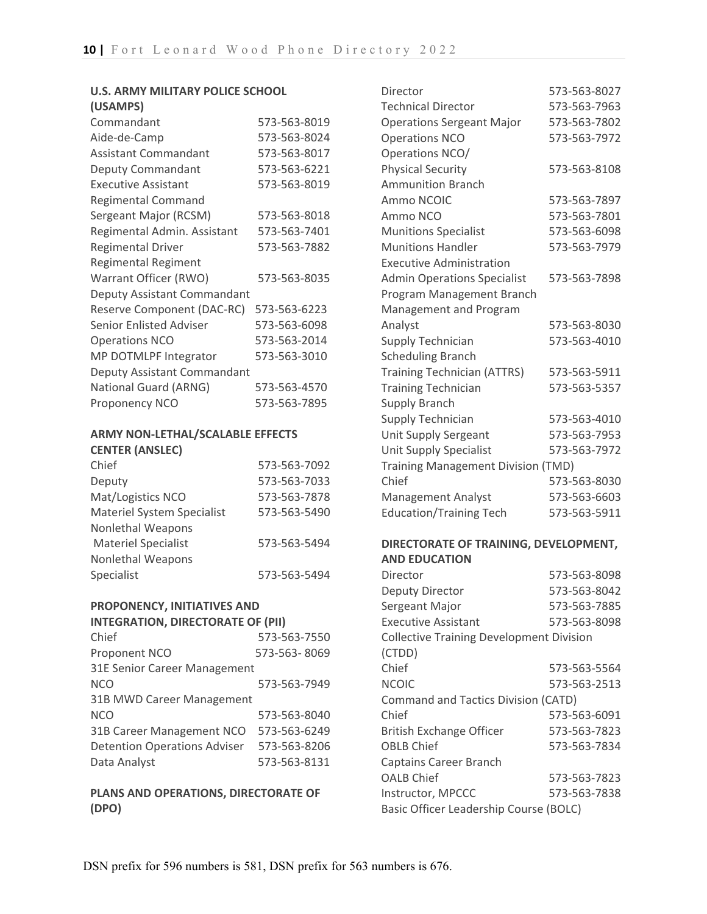#### **U.S. ARMY MILITARY POLICE SCHOOL (USAMPS)**

| וט וויחיטטן                    |              |
|--------------------------------|--------------|
| Commandant                     | 573-563-8019 |
| Aide-de-Camp                   | 573-563-8024 |
| <b>Assistant Commandant</b>    | 573-563-8017 |
| Deputy Commandant              | 573-563-6221 |
| <b>Executive Assistant</b>     | 573-563-8019 |
| <b>Regimental Command</b>      |              |
| Sergeant Major (RCSM)          | 573-563-8018 |
| Regimental Admin. Assistant    | 573-563-7401 |
| <b>Regimental Driver</b>       | 573-563-7882 |
| <b>Regimental Regiment</b>     |              |
| Warrant Officer (RWO)          | 573-563-8035 |
| Deputy Assistant Commandant    |              |
| Reserve Component (DAC-RC)     | 573-563-6223 |
| <b>Senior Enlisted Adviser</b> | 573-563-6098 |
| <b>Operations NCO</b>          | 573-563-2014 |
| MP DOTMLPF Integrator          | 573-563-3010 |
| Deputy Assistant Commandant    |              |
| National Guard (ARNG)          | 573-563-4570 |
| Proponency NCO                 | 573-563-7895 |
|                                |              |

### **ARMY NON-LETHAL/SCALABLE EFFECTS CENTER (ANSLEC)**

| Chief                             | 573-563-7092 |
|-----------------------------------|--------------|
| Deputy                            | 573-563-7033 |
| Mat/Logistics NCO                 | 573-563-7878 |
| <b>Materiel System Specialist</b> | 573-563-5490 |
| <b>Nonlethal Weapons</b>          |              |
| <b>Materiel Specialist</b>        | 573-563-5494 |
| <b>Nonlethal Weapons</b>          |              |
| Specialist                        | 573-563-5494 |

# **PROPONENCY, INITIATIVES AND**

### **INTEGRATION, DIRECTORATE OF (PII)**

| Chief                               | 573-563-7550 |  |
|-------------------------------------|--------------|--|
| Proponent NCO                       | 573-563-8069 |  |
| 31E Senior Career Management        |              |  |
| <b>NCO</b>                          | 573-563-7949 |  |
| 31B MWD Career Management           |              |  |
| <b>NCO</b>                          | 573-563-8040 |  |
| 31B Career Management NCO           | 573-563-6249 |  |
| <b>Detention Operations Adviser</b> | 573-563-8206 |  |
| Data Analyst                        | 573-563-8131 |  |

### **PLANS AND OPERATIONS, DIRECTORATE OF (DPO)**

| Director                                  | 573-563-8027                 |
|-------------------------------------------|------------------------------|
| <b>Technical Director</b>                 | 573-563-7963                 |
| <b>Operations Sergeant Major</b>          | 573-563-7802                 |
| <b>Operations NCO</b>                     | 573-563-7972                 |
| Operations NCO/                           |                              |
| <b>Physical Security</b>                  | 573-563-8108                 |
| <b>Ammunition Branch</b>                  |                              |
| Ammo NCOIC                                | 573-563-7897                 |
| Ammo NCO                                  | 573-563-7801                 |
| <b>Munitions Specialist</b>               | 573-563-6098                 |
| <b>Munitions Handler</b>                  | 573-563-7979                 |
| <b>Executive Administration</b>           |                              |
| <b>Admin Operations Specialist</b>        | 573-563-7898                 |
| Program Management Branch                 |                              |
| Management and Program                    |                              |
| Analyst                                   | 573-563-8030                 |
| Supply Technician                         | 573-563-4010                 |
| <b>Scheduling Branch</b>                  |                              |
| <b>Training Technician (ATTRS)</b>        | 573-563-5911                 |
| <b>Training Technician</b>                | 573-563-5357                 |
| <b>Supply Branch</b>                      |                              |
| <b>Supply Technician</b>                  | 573-563-4010                 |
| Unit Supply Sergeant                      | 573-563-7953                 |
| <b>Unit Supply Specialist</b>             | 573-563-7972                 |
| <b>Training Management Division (TMD)</b> |                              |
| Chief                                     | 573-563-8030                 |
| <b>Management Analyst</b>                 | 573-563-6603                 |
| <b>Education/Training Tech</b>            | 573-563-5911                 |
|                                           |                              |
| DIRECTORATE OF TRAINING, DEVELOPMENT,     |                              |
| <b>AND EDUCATION</b>                      |                              |
| Director                                  | 573-563-8098                 |
| <b>Deputy Director</b>                    | 573-563-8042<br>573-563-7885 |
| Sergeant Major                            |                              |

| DUDULY DII UULUI                                | <u>,, , ,uu uu c</u> |  |
|-------------------------------------------------|----------------------|--|
| Sergeant Major                                  | 573-563-7885         |  |
| <b>Executive Assistant</b>                      | 573-563-8098         |  |
| <b>Collective Training Development Division</b> |                      |  |
| (CTDD)                                          |                      |  |
| Chief                                           | 573-563-5564         |  |
| <b>NCOIC</b>                                    | 573-563-2513         |  |
| Command and Tactics Division (CATD)             |                      |  |
| Chief                                           | 573-563-6091         |  |
| <b>British Exchange Officer</b>                 | 573-563-7823         |  |
| <b>OBLB Chief</b>                               | 573-563-7834         |  |
| <b>Captains Career Branch</b>                   |                      |  |
| <b>OALB Chief</b>                               | 573-563-7823         |  |
| Instructor, MPCCC                               | 573-563-7838         |  |
| Basic Officer Leadership Course (BOLC)          |                      |  |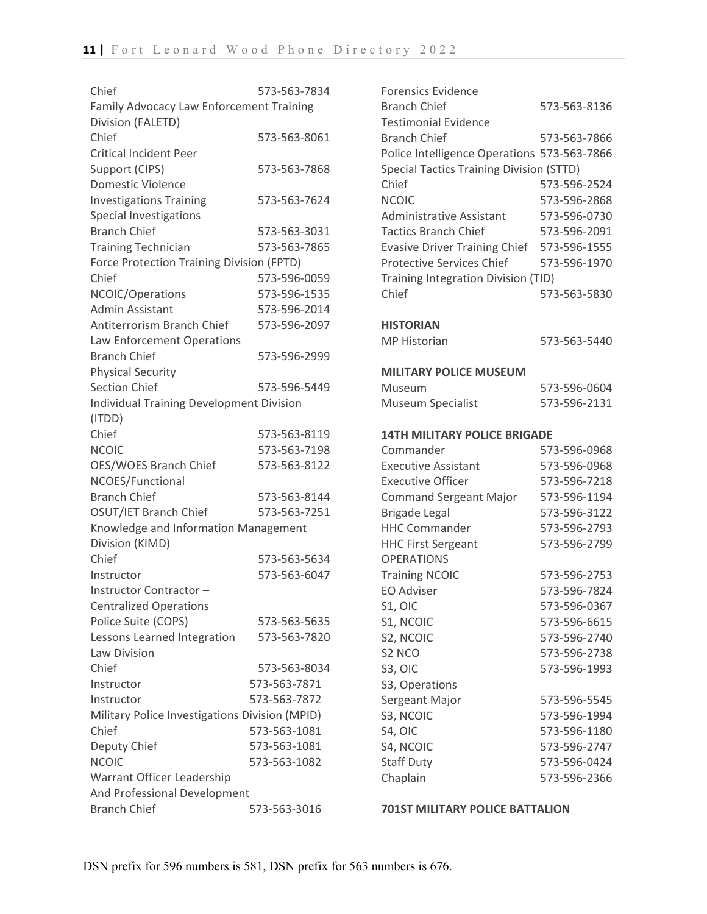| Chief                                           | 573-563-7834 |
|-------------------------------------------------|--------------|
| Family Advocacy Law Enforcement Training        |              |
| Division (FALETD)                               |              |
| Chief                                           | 573-563-8061 |
| <b>Critical Incident Peer</b>                   |              |
| Support (CIPS)                                  | 573-563-7868 |
| <b>Domestic Violence</b>                        |              |
| <b>Investigations Training</b>                  | 573-563-7624 |
| Special Investigations                          |              |
| <b>Branch Chief</b>                             | 573-563-3031 |
| <b>Training Technician</b>                      | 573-563-7865 |
| Force Protection Training Division (FPTD)       |              |
| Chief                                           | 573-596-0059 |
| NCOIC/Operations                                | 573-596-1535 |
| Admin Assistant                                 | 573-596-2014 |
| Antiterrorism Branch Chief                      | 573-596-2097 |
| Law Enforcement Operations                      |              |
| <b>Branch Chief</b>                             | 573-596-2999 |
| <b>Physical Security</b>                        |              |
| <b>Section Chief</b>                            | 573-596-5449 |
| <b>Individual Training Development Division</b> |              |
| (ITDD)                                          |              |
| Chief                                           | 573-563-8119 |
| <b>NCOIC</b>                                    | 573-563-7198 |
| OES/WOES Branch Chief                           | 573-563-8122 |
| NCOES/Functional                                |              |
| <b>Branch Chief</b>                             | 573-563-8144 |
| OSUT/IET Branch Chief                           | 573-563-7251 |
| Knowledge and Information Management            |              |
| Division (KIMD)                                 |              |
| Chief                                           | 573-563-5634 |
| Instructor                                      | 573-563-6047 |
| Instructor Contractor-                          |              |
| <b>Centralized Operations</b>                   |              |
| Police Suite (COPS)                             | 573-563-5635 |
| Lessons Learned Integration                     | 573-563-7820 |
| Law Division                                    |              |
| Chief                                           | 573-563-8034 |
| Instructor                                      | 573-563-7871 |
| Instructor                                      | 573-563-7872 |
| Military Police Investigations Division (MPID)  |              |
| Chief                                           | 573-563-1081 |
| Deputy Chief                                    | 573-563-1081 |
| <b>NCOIC</b>                                    | 573-563-1082 |
| Warrant Officer Leadership                      |              |
| And Professional Development                    |              |
| <b>Branch Chief</b>                             | 573-563-3016 |

| <b>Forensics Evidence</b>                       |              |
|-------------------------------------------------|--------------|
| <b>Branch Chief</b>                             | 573-563-8136 |
| <b>Testimonial Evidence</b>                     |              |
| <b>Branch Chief</b>                             | 573-563-7866 |
| Police Intelligence Operations 573-563-7866     |              |
| <b>Special Tactics Training Division (STTD)</b> |              |
| Chief                                           | 573-596-2524 |
| <b>NCOIC</b>                                    | 573-596-2868 |
| <b>Administrative Assistant</b>                 | 573-596-0730 |
| <b>Tactics Branch Chief</b>                     | 573-596-2091 |
| <b>Evasive Driver Training Chief</b>            | 573-596-1555 |
| <b>Protective Services Chief</b>                | 573-596-1970 |
|                                                 |              |
| Training Integration Division (TID)<br>Chief    |              |
|                                                 | 573-563-5830 |
| <b>HISTORIAN</b>                                |              |
| <b>MP Historian</b>                             | 573-563-5440 |
|                                                 |              |
| <b>MILITARY POLICE MUSEUM</b>                   |              |
| Museum                                          | 573-596-0604 |
| <b>Museum Specialist</b>                        | 573-596-2131 |
|                                                 |              |
| <b>14TH MILITARY POLICE BRIGADE</b>             |              |
| Commander                                       | 573-596-0968 |
| <b>Executive Assistant</b>                      | 573-596-0968 |
| <b>Executive Officer</b>                        | 573-596-7218 |
| <b>Command Sergeant Major</b>                   | 573-596-1194 |
| <b>Brigade Legal</b>                            | 573-596-3122 |
| <b>HHC Commander</b>                            | 573-596-2793 |
| <b>HHC First Sergeant</b>                       | 573-596-2799 |
| <b>OPERATIONS</b>                               |              |
| <b>Training NCOIC</b>                           | 573-596-2753 |
| <b>EO Adviser</b>                               | 573-596-7824 |
| S1, OIC                                         | 573-596-0367 |
| S1, NCOIC                                       | 573-596-6615 |
| S2, NCOIC                                       | 573-596-2740 |
| S <sub>2</sub> NCO                              | 573-596-2738 |
| S3, OIC                                         | 573-596-1993 |
| S3, Operations                                  |              |
| Sergeant Major                                  | 573-596-5545 |
| S3, NCOIC                                       | 573-596-1994 |
| S4, OIC                                         | 573-596-1180 |
| S4, NCOIC                                       | 573-596-2747 |
| <b>Staff Duty</b>                               | 573-596-0424 |
| Chaplain                                        | 573-596-2366 |
|                                                 |              |

**701ST MILITARY POLICE BATTALION**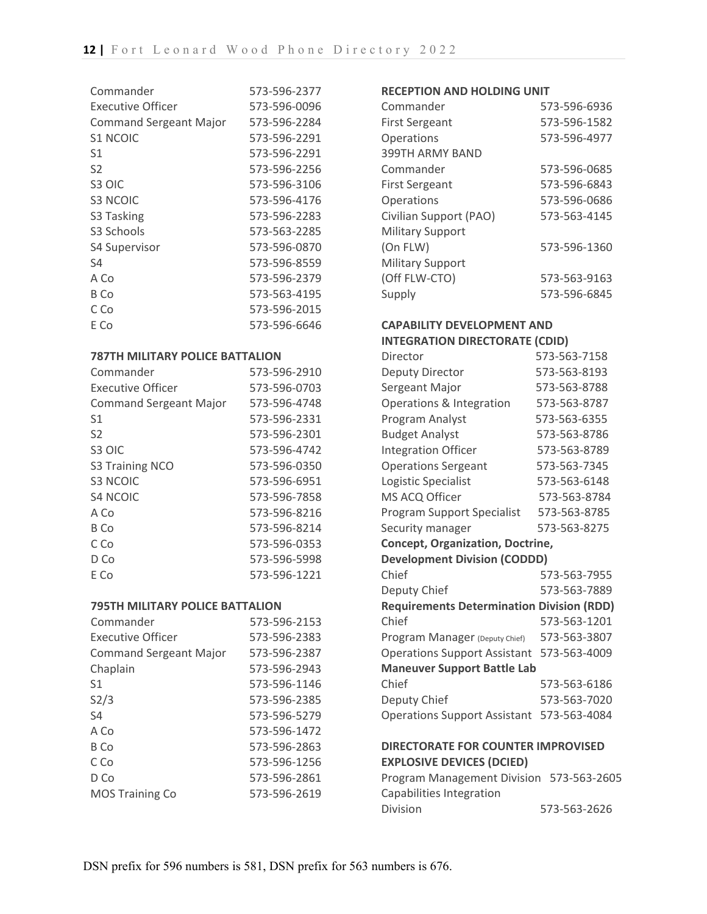| Commander                     | 573-596-2377 |
|-------------------------------|--------------|
| Executive Officer             | 573-596-0096 |
| <b>Command Sergeant Major</b> | 573-596-2284 |
| S1 NCOIC                      | 573-596-2291 |
| S1                            | 573-596-2291 |
| S2                            | 573-596-2256 |
| S <sub>3</sub> OIC            | 573-596-3106 |
| S3 NCOIC                      | 573-596-4176 |
| S3 Tasking                    | 573-596-2283 |
| S <sub>3</sub> Schools        | 573-563-2285 |
| <b>S4 Supervisor</b>          | 573-596-0870 |
| S4                            | 573-596-8559 |
| A Co                          | 573-596-2379 |
| B Co                          | 573-563-4195 |
| C Co                          | 573-596-2015 |
| E Co                          | 573-596-6646 |

### **787TH MILITARY POLICE BATTALION**

| Commander                     | 573-596-2910 |
|-------------------------------|--------------|
| Executive Officer             | 573-596-0703 |
| <b>Command Sergeant Major</b> | 573-596-4748 |
| S1                            | 573-596-2331 |
| S <sub>2</sub>                | 573-596-2301 |
| S <sub>3</sub> OIC            | 573-596-4742 |
| S3 Training NCO               | 573-596-0350 |
| <b>S3 NCOIC</b>               | 573-596-6951 |
| <b>S4 NCOIC</b>               | 573-596-7858 |
| A Co                          | 573-596-8216 |
| B Co                          | 573-596-8214 |
| C Co                          | 573-596-0353 |
| D Co                          | 573-596-5998 |
| E Co                          | 573-596-1221 |

#### **795TH MILITARY POLICE BATTALION**

| 573-596-2153 |
|--------------|
| 573-596-2383 |
| 573-596-2387 |
| 573-596-2943 |
| 573-596-1146 |
| 573-596-2385 |
| 573-596-5279 |
| 573-596-1472 |
| 573-596-2863 |
| 573-596-1256 |
| 573-596-2861 |
| 573-596-2619 |
|              |

#### **RECEPTION AND HOLDING UNIT**

| Commander               | 573-596-6936 |
|-------------------------|--------------|
| <b>First Sergeant</b>   | 573-596-1582 |
| Operations              | 573-596-4977 |
| 399TH ARMY BAND         |              |
| Commander               | 573-596-0685 |
| <b>First Sergeant</b>   | 573-596-6843 |
| Operations              | 573-596-0686 |
| Civilian Support (PAO)  | 573-563-4145 |
| <b>Military Support</b> |              |
| (On FLW)                | 573-596-1360 |
| <b>Military Support</b> |              |
| (Off FLW-CTO)           | 573-563-9163 |
| Supply                  | 573-596-6845 |

## **CAPABILITY DEVELOPMENT AND INTEGRATION DIRECTORATE (CDID)**

| Director                                         | 573-563-7158 |  |
|--------------------------------------------------|--------------|--|
| Deputy Director                                  | 573-563-8193 |  |
| Sergeant Major                                   | 573-563-8788 |  |
| Operations & Integration                         | 573-563-8787 |  |
| Program Analyst                                  | 573-563-6355 |  |
| <b>Budget Analyst</b>                            | 573-563-8786 |  |
| <b>Integration Officer</b>                       | 573-563-8789 |  |
| <b>Operations Sergeant</b>                       | 573-563-7345 |  |
| Logistic Specialist                              | 573-563-6148 |  |
| MS ACQ Officer                                   | 573-563-8784 |  |
| <b>Program Support Specialist</b>                | 573-563-8785 |  |
| Security manager                                 | 573-563-8275 |  |
| <b>Concept, Organization, Doctrine,</b>          |              |  |
| <b>Development Division (CODDD)</b>              |              |  |
| Chief                                            | 573-563-7955 |  |
| Deputy Chief                                     | 573-563-7889 |  |
| <b>Requirements Determination Division (RDD)</b> |              |  |
| Chief                                            | 573-563-1201 |  |
| Program Manager (Deputy Chief)                   | 573-563-3807 |  |
| <b>Operations Support Assistant</b>              | 573-563-4009 |  |
| <b>Maneuver Support Battle Lab</b>               |              |  |
| Chief                                            | 573-563-6186 |  |
| Deputy Chief                                     | 573-563-7020 |  |
| <b>Operations Support Assistant</b>              | 573-563-4084 |  |
| <b>DIRECTORATE FOR COUNTER IMPROVISED</b>        |              |  |
| EVDI OSIVE DEVICES (DCIED)                       |              |  |

**EXPLOSIVE DEVICES (DCIED)** Program Management Division 573-563-2605 Capabilities Integration Division 573-563-2626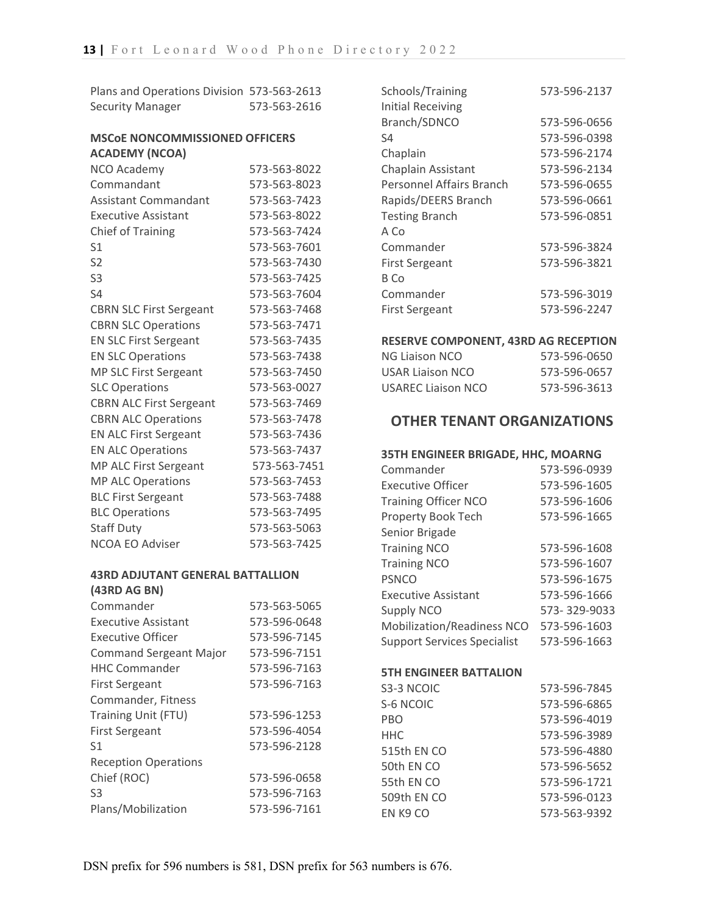| Plans and Operations Division 573-563-2613 |              |
|--------------------------------------------|--------------|
| <b>Security Manager</b>                    | 573-563-2616 |

#### **MSCoE NONCOMMISSIONED OFFICERS ACADEMY (NCOA)**

| <b>NCO Academy</b>             | 573-563-8022 |
|--------------------------------|--------------|
| Commandant                     | 573-563-8023 |
| <b>Assistant Commandant</b>    | 573-563-7423 |
| <b>Executive Assistant</b>     | 573-563-8022 |
| <b>Chief of Training</b>       | 573-563-7424 |
| S <sub>1</sub>                 | 573-563-7601 |
| S <sub>2</sub>                 | 573-563-7430 |
| S <sub>3</sub>                 | 573-563-7425 |
| S <sub>4</sub>                 | 573-563-7604 |
| <b>CBRN SLC First Sergeant</b> | 573-563-7468 |
| <b>CBRN SLC Operations</b>     | 573-563-7471 |
| <b>EN SLC First Sergeant</b>   | 573-563-7435 |
| <b>EN SLC Operations</b>       | 573-563-7438 |
| MP SLC First Sergeant          | 573-563-7450 |
| <b>SLC Operations</b>          | 573-563-0027 |
| <b>CBRN ALC First Sergeant</b> | 573-563-7469 |
| <b>CBRN ALC Operations</b>     | 573-563-7478 |
| <b>EN ALC First Sergeant</b>   | 573-563-7436 |
| <b>EN ALC Operations</b>       | 573-563-7437 |
| <b>MP ALC First Sergeant</b>   | 573-563-7451 |
| <b>MP ALC Operations</b>       | 573-563-7453 |
| <b>BLC First Sergeant</b>      | 573-563-7488 |
| <b>BLC Operations</b>          | 573-563-7495 |
| <b>Staff Duty</b>              | 573-563-5063 |
| <b>NCOA EO Adviser</b>         | 573-563-7425 |
|                                |              |

#### **43RD ADJUTANT GENERAL BATTALLION (43RD AG BN)**

| (43KD AG BN)                  |              |
|-------------------------------|--------------|
| Commander                     | 573-563-5065 |
| <b>Executive Assistant</b>    | 573-596-0648 |
| Executive Officer             | 573-596-7145 |
| <b>Command Sergeant Major</b> | 573-596-7151 |
| <b>HHC Commander</b>          | 573-596-7163 |
| <b>First Sergeant</b>         | 573-596-7163 |
| Commander, Fitness            |              |
| Training Unit (FTU)           | 573-596-1253 |
| <b>First Sergeant</b>         | 573-596-4054 |
| S1                            | 573-596-2128 |
| <b>Reception Operations</b>   |              |
| Chief (ROC)                   | 573-596-0658 |
| S <sub>3</sub>                | 573-596-7163 |
| Plans/Mobilization            | 573-596-7161 |

| 573-596-2137 |
|--------------|
|              |
| 573-596-0656 |
| 573-596-0398 |
| 573-596-2174 |
| 573-596-2134 |
| 573-596-0655 |
| 573-596-0661 |
| 573-596-0851 |
|              |
| 573-596-3824 |
| 573-596-3821 |
|              |
| 573-596-3019 |
| 573-596-2247 |
|              |

#### **RESERVE COMPONENT, 43RD AG RECEPTION**

| NG Liaison NCO            | 573-596-0650 |
|---------------------------|--------------|
| USAR Liaison NCO          | 573-596-0657 |
| <b>USAREC Liaison NCO</b> | 573-596-3613 |

# **OTHER TENANT ORGANIZATIONS**

### **35TH ENGINEER BRIGADE, HHC, MOARNG**

| Commander                          | 573-596-0939 |
|------------------------------------|--------------|
| Executive Officer                  | 573-596-1605 |
| <b>Training Officer NCO</b>        | 573-596-1606 |
| Property Book Tech                 | 573-596-1665 |
| Senior Brigade                     |              |
| <b>Training NCO</b>                | 573-596-1608 |
| <b>Training NCO</b>                | 573-596-1607 |
| <b>PSNCO</b>                       | 573-596-1675 |
| <b>Executive Assistant</b>         | 573-596-1666 |
| <b>Supply NCO</b>                  | 573-329-9033 |
| <b>Mobilization/Readiness NCO</b>  | 573-596-1603 |
| <b>Support Services Specialist</b> | 573-596-1663 |
|                                    |              |

### **5TH ENGINEER BATTALION**

| S3-3 NCOIC  | 573-596-7845 |
|-------------|--------------|
| S-6 NCOIC   | 573-596-6865 |
| PBO         | 573-596-4019 |
| HHC         | 573-596-3989 |
| 515th EN CO | 573-596-4880 |
| 50th EN CO  | 573-596-5652 |
| 55th EN CO  | 573-596-1721 |
| 509th EN CO | 573-596-0123 |
| EN K9 CO    | 573-563-9392 |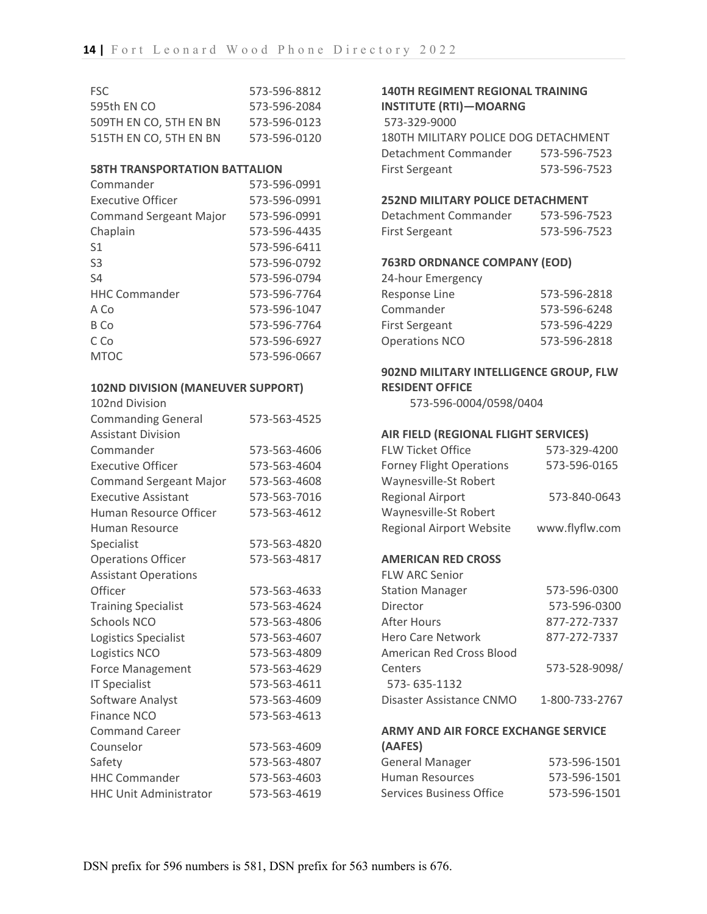| ESC.                   | 573-596-8812 |
|------------------------|--------------|
| 595th EN CO            | 573-596-2084 |
| 509TH EN CO. 5TH EN BN | 573-596-0123 |
| 515TH EN CO, 5TH EN BN | 573-596-0120 |

#### **58TH TRANSPORTATION BATTALION**

| Commander                     | 573-596-0991 |
|-------------------------------|--------------|
| <b>Executive Officer</b>      | 573-596-0991 |
| <b>Command Sergeant Major</b> | 573-596-0991 |
| Chaplain                      | 573-596-4435 |
| S <sub>1</sub>                | 573-596-6411 |
| S <sub>3</sub>                | 573-596-0792 |
| S4                            | 573-596-0794 |
| <b>HHC Commander</b>          | 573-596-7764 |
| A Co                          | 573-596-1047 |
| B Co                          | 573-596-7764 |
| C Co                          | 573-596-6927 |
| MTOC                          | 573-596-0667 |

### **102ND DIVISION (MANEUVER SUPPORT)**

| 102nd Division                |              |
|-------------------------------|--------------|
| <b>Commanding General</b>     | 573-563-4525 |
| <b>Assistant Division</b>     |              |
| Commander                     | 573-563-4606 |
| <b>Executive Officer</b>      | 573-563-4604 |
| <b>Command Sergeant Major</b> | 573-563-4608 |
| <b>Executive Assistant</b>    | 573-563-7016 |
| Human Resource Officer        | 573-563-4612 |
| <b>Human Resource</b>         |              |
| Specialist                    | 573-563-4820 |
| <b>Operations Officer</b>     | 573-563-4817 |
| <b>Assistant Operations</b>   |              |
| Officer                       | 573-563-4633 |
| <b>Training Specialist</b>    | 573-563-4624 |
| <b>Schools NCO</b>            | 573-563-4806 |
| Logistics Specialist          | 573-563-4607 |
| Logistics NCO                 | 573-563-4809 |
| Force Management              | 573-563-4629 |
| <b>IT Specialist</b>          | 573-563-4611 |
| Software Analyst              | 573-563-4609 |
| Finance NCO                   | 573-563-4613 |
| <b>Command Career</b>         |              |
| Counselor                     | 573-563-4609 |
| Safety                        | 573-563-4807 |
| <b>HHC Commander</b>          | 573-563-4603 |
| <b>HHC Unit Administrator</b> | 573-563-4619 |

# **140TH REGIMENT REGIONAL TRAINING**

**INSTITUTE (RTI)—MOARNG** 573-329-9000 180TH MILITARY POLICE DOG DETACHMENT Detachment Commander 573-596-7523 First Sergeant 573-596-7523

#### **252ND MILITARY POLICE DETACHMENT**

| Detachment Commander | 573-596-7523 |
|----------------------|--------------|
| First Sergeant       | 573-596-7523 |

#### **763RD ORDNANCE COMPANY (EOD)**

| 24-hour Emergency     |              |
|-----------------------|--------------|
| Response Line         | 573-596-2818 |
| Commander             | 573-596-6248 |
| First Sergeant        | 573-596-4229 |
| <b>Operations NCO</b> | 573-596-2818 |

### **902ND MILITARY INTELLIGENCE GROUP, FLW RESIDENT OFFICE**

573-596-0004/0598/0404

### **AIR FIELD (REGIONAL FLIGHT SERVICES)**

| <b>FLW Ticket Office</b>        | 573-329-4200   |
|---------------------------------|----------------|
| <b>Forney Flight Operations</b> | 573-596-0165   |
| Waynesville-St Robert           |                |
| <b>Regional Airport</b>         | 573-840-0643   |
| Waynesville-St Robert           |                |
| <b>Regional Airport Website</b> | www.flyflw.com |

### **AMERICAN RED CROSS**

| <b>FLW ARC Senior</b>    |                |
|--------------------------|----------------|
| <b>Station Manager</b>   | 573-596-0300   |
| Director                 | 573-596-0300   |
| After Hours              | 877-272-7337   |
| Hero Care Network        | 877-272-7337   |
| American Red Cross Blood |                |
| Centers                  | 573-528-9098/  |
| 573-635-1132             |                |
| Disaster Assistance CNMO | 1-800-733-2767 |
|                          |                |

#### **ARMY AND AIR FORCE EXCHANGE SERVICE (AAFES)**

| General Manager          | 573-596-1501 |
|--------------------------|--------------|
| Human Resources          | 573-596-1501 |
| Services Business Office | 573-596-1501 |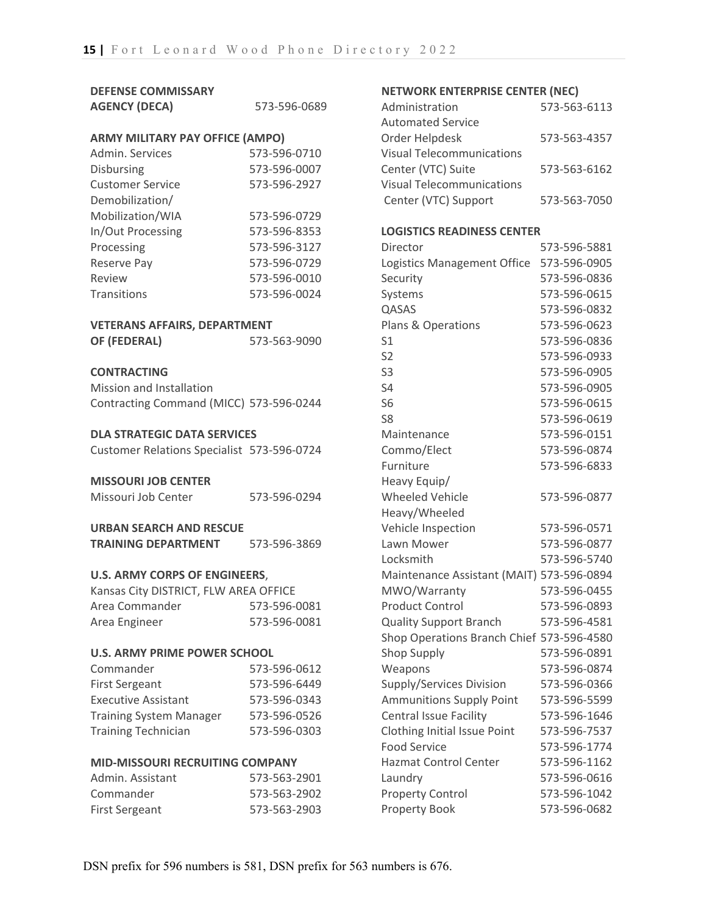# **DEFENSE COMMISSARY**

| <b>AGENCY (DECA)</b>                   | 573-596-0689 |
|----------------------------------------|--------------|
| <b>ARMY MILITARY PAY OFFICE (AMPO)</b> |              |
| Admin. Services                        | 573-596-0710 |

| <b>Disbursing</b>       | 573-596-0007 |
|-------------------------|--------------|
| <b>Customer Service</b> | 573-596-2927 |
| Demobilization/         |              |
| Mobilization/WIA        | 573-596-0729 |
| In/Out Processing       | 573-596-8353 |
| Processing              | 573-596-3127 |
| Reserve Pay             | 573-596-0729 |
| Review                  | 573-596-0010 |
| <b>Transitions</b>      | 573-596-0024 |

# **VETERANS AFFAIRS, DEPARTMENT**

| OF (FEDERAL) | 573-563-9090 |
|--------------|--------------|
|--------------|--------------|

### **CONTRACTING**

| Mission and Installation                |  |
|-----------------------------------------|--|
| Contracting Command (MICC) 573-596-0244 |  |

### **DLA STRATEGIC DATA SERVICES**

#### **MISSOURI JOB CENTER**

| Missouri Job Center<br>573-596-0294 |
|-------------------------------------|
|-------------------------------------|

| URBAN SEARCH AND RESCUE |  |
|-------------------------|--|
|-------------------------|--|

#### **U.S. ARMY CORPS OF ENGINEERS**,

| Kansas City DISTRICT, FLW AREA OFFICE |              |
|---------------------------------------|--------------|
| Area Commander                        | 573-596-0081 |
| Area Engineer                         | 573-596-0081 |

#### **U.S. ARMY PRIME POWER SCHOOL**

| Commander                      | 573-596-0612 |
|--------------------------------|--------------|
| <b>First Sergeant</b>          | 573-596-6449 |
| <b>Executive Assistant</b>     | 573-596-0343 |
| <b>Training System Manager</b> | 573-596-0526 |
| <b>Training Technician</b>     | 573-596-0303 |

### **MID-MISSOURI RECRUITING COMPANY**

| Admin, Assistant | 573-563-2901 |
|------------------|--------------|
| Commander        | 573-563-2902 |
| First Sergeant   | 573-563-2903 |

### **NETWORK ENTERPRISE CENTER (NEC)**

| Administration                   | 573-563-6113 |
|----------------------------------|--------------|
| <b>Automated Service</b>         |              |
| Order Helpdesk                   | 573-563-4357 |
| <b>Visual Telecommunications</b> |              |
| Center (VTC) Suite               | 573-563-6162 |
| <b>Visual Telecommunications</b> |              |
| Center (VTC) Support             | 573-563-7050 |

#### **LOGISTICS READINESS CENTER**

| Director                                  | 573-596-5881 |
|-------------------------------------------|--------------|
| Logistics Management Office               | 573-596-0905 |
| Security                                  | 573-596-0836 |
| Systems                                   | 573-596-0615 |
| QASAS                                     | 573-596-0832 |
| Plans & Operations                        | 573-596-0623 |
| S1                                        | 573-596-0836 |
| S <sub>2</sub>                            | 573-596-0933 |
| S <sub>3</sub>                            | 573-596-0905 |
| S4                                        | 573-596-0905 |
| S <sub>6</sub>                            | 573-596-0615 |
| S8                                        | 573-596-0619 |
| Maintenance                               | 573-596-0151 |
| Commo/Elect                               | 573-596-0874 |
| Furniture                                 | 573-596-6833 |
| Heavy Equip/                              |              |
| <b>Wheeled Vehicle</b>                    | 573-596-0877 |
| Heavy/Wheeled                             |              |
| Vehicle Inspection                        | 573-596-0571 |
| Lawn Mower                                | 573-596-0877 |
| Locksmith                                 | 573-596-5740 |
| Maintenance Assistant (MAIT) 573-596-0894 |              |
| MWO/Warranty                              | 573-596-0455 |
| <b>Product Control</b>                    | 573-596-0893 |
| <b>Quality Support Branch</b>             | 573-596-4581 |
| Shop Operations Branch Chief 573-596-4580 |              |
| <b>Shop Supply</b>                        | 573-596-0891 |
| Weapons                                   | 573-596-0874 |
| Supply/Services Division                  | 573-596-0366 |
| <b>Ammunitions Supply Point</b>           | 573-596-5599 |
| Central Issue Facility                    | 573-596-1646 |
| <b>Clothing Initial Issue Point</b>       | 573-596-7537 |
| <b>Food Service</b>                       | 573-596-1774 |
| <b>Hazmat Control Center</b>              | 573-596-1162 |
| Laundry                                   | 573-596-0616 |
| Property Control                          | 573-596-1042 |
| Property Book                             | 573-596-0682 |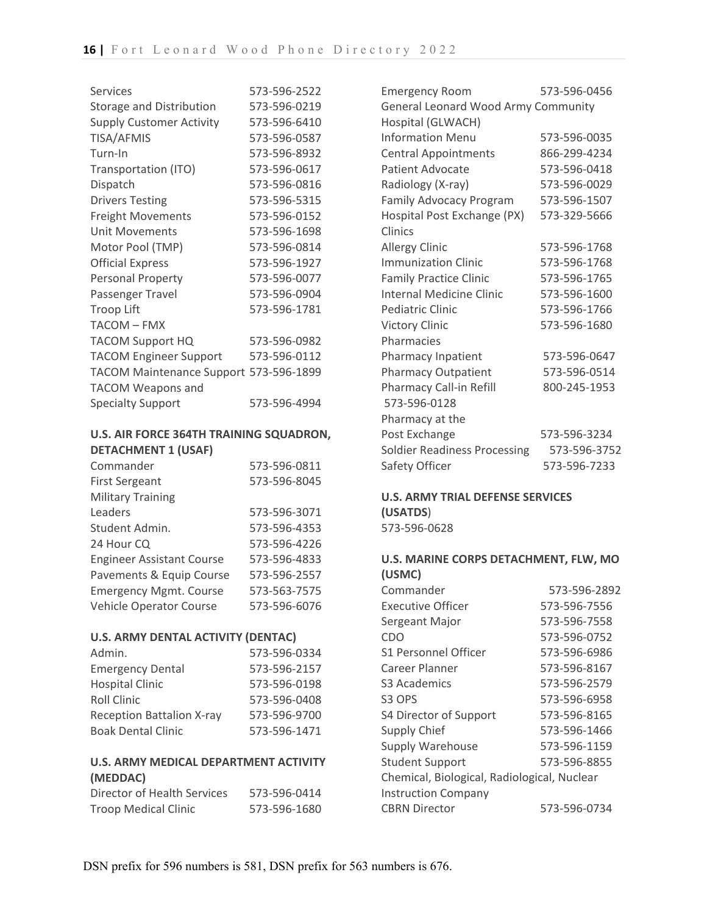| <b>Services</b>                        | 573-596-2522 |
|----------------------------------------|--------------|
| <b>Storage and Distribution</b>        | 573-596-0219 |
| <b>Supply Customer Activity</b>        | 573-596-6410 |
| <b>TISA/AFMIS</b>                      | 573-596-0587 |
| Turn-In                                | 573-596-8932 |
| Transportation (ITO)                   | 573-596-0617 |
| Dispatch                               | 573-596-0816 |
| <b>Drivers Testing</b>                 | 573-596-5315 |
| <b>Freight Movements</b>               | 573-596-0152 |
| <b>Unit Movements</b>                  | 573-596-1698 |
| Motor Pool (TMP)                       | 573-596-0814 |
| <b>Official Express</b>                | 573-596-1927 |
| Personal Property                      | 573-596-0077 |
| Passenger Travel                       | 573-596-0904 |
| <b>Troop Lift</b>                      | 573-596-1781 |
| <b>TACOM - FMX</b>                     |              |
| <b>TACOM Support HQ</b>                | 573-596-0982 |
| <b>TACOM Engineer Support</b>          | 573-596-0112 |
| TACOM Maintenance Support 573-596-1899 |              |
| <b>TACOM Weapons and</b>               |              |
| <b>Specialty Support</b>               | 573-596-4994 |

### **U.S. AIR FORCE 364TH TRAINING SQUADRON, DETACHMENT 1 (USAF)**

| Commander                        | 573-596-0811 |
|----------------------------------|--------------|
| <b>First Sergeant</b>            | 573-596-8045 |
| <b>Military Training</b>         |              |
| Leaders                          | 573-596-3071 |
| Student Admin.                   | 573-596-4353 |
| 24 Hour CQ                       | 573-596-4226 |
| <b>Engineer Assistant Course</b> | 573-596-4833 |
| Pavements & Equip Course         | 573-596-2557 |
| <b>Emergency Mgmt. Course</b>    | 573-563-7575 |
| Vehicle Operator Course          | 573-596-6076 |

### **U.S. ARMY DENTAL ACTIVITY (DENTAC)**

| Admin.                           | 573-596-0334 |
|----------------------------------|--------------|
| <b>Emergency Dental</b>          | 573-596-2157 |
| <b>Hospital Clinic</b>           | 573-596-0198 |
| <b>Roll Clinic</b>               | 573-596-0408 |
| <b>Reception Battalion X-ray</b> | 573-596-9700 |
| <b>Boak Dental Clinic</b>        | 573-596-1471 |

### **U.S. ARMY MEDICAL DEPARTMENT ACTIVITY (MEDDAC)**

| Director of Health Services | 573-596-0414 |
|-----------------------------|--------------|
| <b>Troop Medical Clinic</b> | 573-596-1680 |

| <b>Emergency Room</b>               | 573-596-0456 |
|-------------------------------------|--------------|
| General Leonard Wood Army Community |              |
| Hospital (GLWACH)                   |              |
| <b>Information Menu</b>             | 573-596-0035 |
| <b>Central Appointments</b>         | 866-299-4234 |
| Patient Advocate                    | 573-596-0418 |
| Radiology (X-ray)                   | 573-596-0029 |
| Family Advocacy Program             | 573-596-1507 |
| Hospital Post Exchange (PX)         | 573-329-5666 |
| Clinics                             |              |
| <b>Allergy Clinic</b>               | 573-596-1768 |
| <b>Immunization Clinic</b>          | 573-596-1768 |
| <b>Family Practice Clinic</b>       | 573-596-1765 |
| <b>Internal Medicine Clinic</b>     | 573-596-1600 |
| Pediatric Clinic                    | 573-596-1766 |
| <b>Victory Clinic</b>               | 573-596-1680 |
| Pharmacies                          |              |
| Pharmacy Inpatient                  | 573-596-0647 |
| <b>Pharmacy Outpatient</b>          | 573-596-0514 |
| Pharmacy Call-in Refill             | 800-245-1953 |
| 573-596-0128                        |              |
| Pharmacy at the                     |              |
| Post Exchange                       | 573-596-3234 |
| <b>Soldier Readiness Processing</b> | 573-596-3752 |
| Safety Officer                      | 573-596-7233 |

### **U.S. ARMY TRIAL DEFENSE SERVICES (USATDS**) 573-596-0628

### **U.S. MARINE CORPS DETACHMENT, FLW, MO (USMC)**

| Commander                                   | 573-596-2892 |
|---------------------------------------------|--------------|
| <b>Executive Officer</b>                    | 573-596-7556 |
| Sergeant Major                              | 573-596-7558 |
| CDO                                         | 573-596-0752 |
| S1 Personnel Officer                        | 573-596-6986 |
| Career Planner                              | 573-596-8167 |
| S3 Academics                                | 573-596-2579 |
| S <sub>3</sub> OPS                          | 573-596-6958 |
| S4 Director of Support                      | 573-596-8165 |
| Supply Chief                                | 573-596-1466 |
| <b>Supply Warehouse</b>                     | 573-596-1159 |
| <b>Student Support</b>                      | 573-596-8855 |
| Chemical, Biological, Radiological, Nuclear |              |
| <b>Instruction Company</b>                  |              |
| <b>CBRN Director</b>                        | 573-596-0734 |